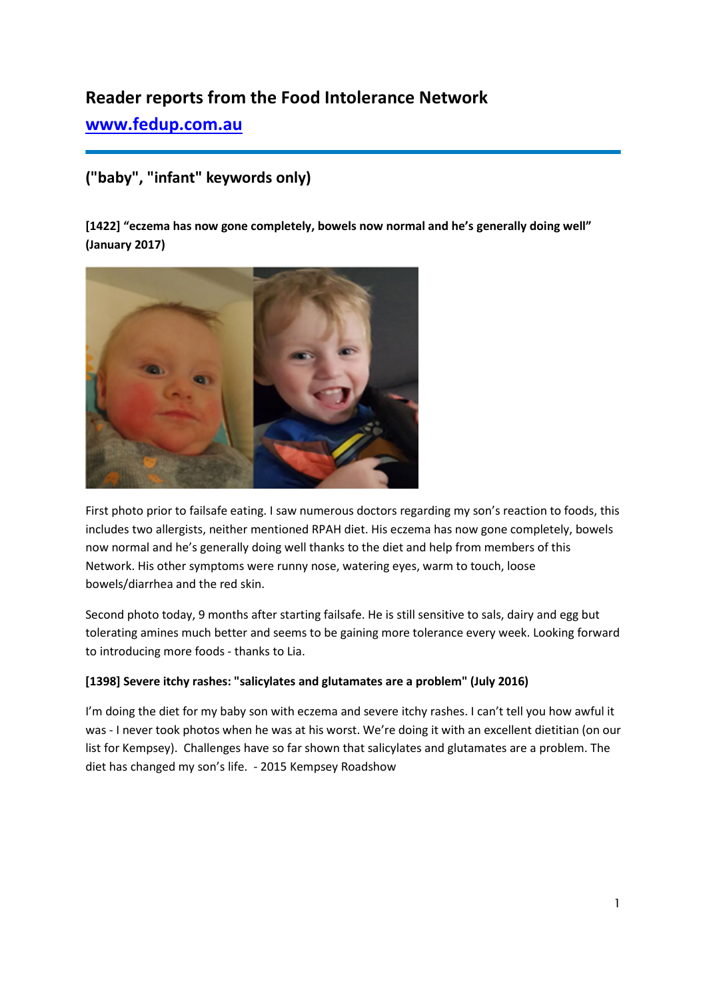# **Reader reports from the Food Intolerance Network**

**[www.fedup.com.au](http://www.fedup.com.au/)**

# **("baby", "infant" keywords only)**

**[1422] "eczema has now gone completely, bowels now normal and he's generally doing well" (January 2017)**



First photo prior to failsafe eating. I saw numerous doctors regarding my son's reaction to foods, this includes two allergists, neither mentioned RPAH diet. His eczema has now gone completely, bowels now normal and he's generally doing well thanks to the diet and help from members of this Network. His other symptoms were runny nose, watering eyes, warm to touch, loose bowels/diarrhea and the red skin.

Second photo today, 9 months after starting failsafe. He is still sensitive to sals, dairy and egg but tolerating amines much better and seems to be gaining more tolerance every week. Looking forward to introducing more foods - thanks to Lia.

## **[1398] Severe itchy rashes: "salicylates and glutamates are a problem" (July 2016)**

I'm doing the diet for my baby son with eczema and severe itchy rashes. I can't tell you how awful it was - I never took photos when he was at his worst. We're doing it with an excellent dietitian (on our list for Kempsey). Challenges have so far shown that salicylates and glutamates are a problem. The diet has changed my son's life. - 2015 Kempsey Roadshow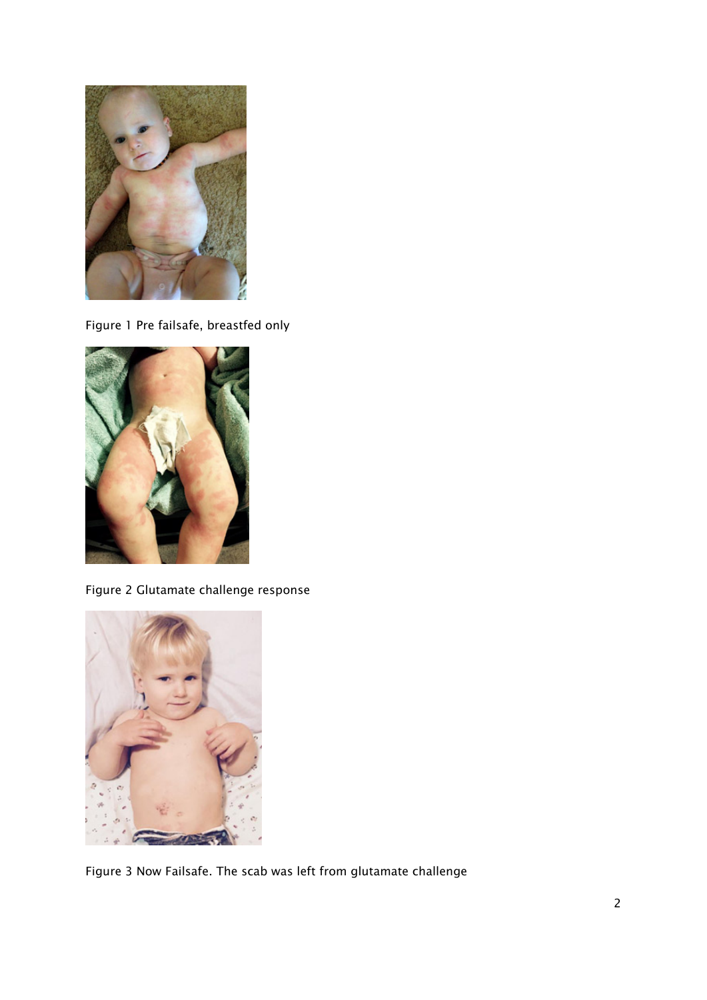

Figure 1 Pre failsafe, breastfed only



Figure 2 Glutamate challenge response



Figure 3 Now Failsafe. The scab was left from glutamate challenge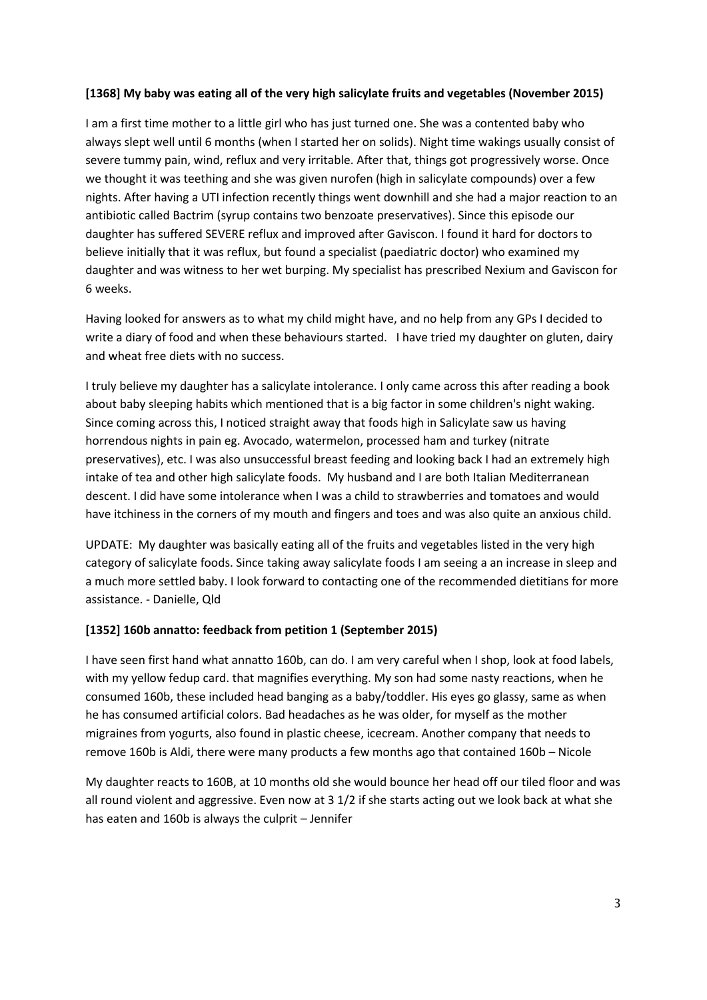### **[1368] My baby was eating all of the very high salicylate fruits and vegetables (November 2015)**

I am a first time mother to a little girl who has just turned one. She was a contented baby who always slept well until 6 months (when I started her on solids). Night time wakings usually consist of severe tummy pain, wind, reflux and very irritable. After that, things got progressively worse. Once we thought it was teething and she was given nurofen (high in salicylate compounds) over a few nights. After having a UTI infection recently things went downhill and she had a major reaction to an antibiotic called Bactrim (syrup contains two benzoate preservatives). Since this episode our daughter has suffered SEVERE reflux and improved after Gaviscon. I found it hard for doctors to believe initially that it was reflux, but found a specialist (paediatric doctor) who examined my daughter and was witness to her wet burping. My specialist has prescribed Nexium and Gaviscon for 6 weeks.

Having looked for answers as to what my child might have, and no help from any GPs I decided to write a diary of food and when these behaviours started. I have tried my daughter on gluten, dairy and wheat free diets with no success.

I truly believe my daughter has a salicylate intolerance. I only came across this after reading a book about baby sleeping habits which mentioned that is a big factor in some children's night waking. Since coming across this, I noticed straight away that foods high in Salicylate saw us having horrendous nights in pain eg. Avocado, watermelon, processed ham and turkey (nitrate preservatives), etc. I was also unsuccessful breast feeding and looking back I had an extremely high intake of tea and other high salicylate foods. My husband and I are both Italian Mediterranean descent. I did have some intolerance when I was a child to strawberries and tomatoes and would have itchiness in the corners of my mouth and fingers and toes and was also quite an anxious child.

UPDATE: My daughter was basically eating all of the fruits and vegetables listed in the very high category of salicylate foods. Since taking away salicylate foods I am seeing a an increase in sleep and a much more settled baby. I look forward to contacting one of the recommended dietitians for more assistance. - Danielle, Qld

#### **[1352] 160b annatto: feedback from petition 1 (September 2015)**

I have seen first hand what annatto 160b, can do. I am very careful when I shop, look at food labels, with my yellow fedup card. that magnifies everything. My son had some nasty reactions, when he consumed 160b, these included head banging as a baby/toddler. His eyes go glassy, same as when he has consumed artificial colors. Bad headaches as he was older, for myself as the mother migraines from yogurts, also found in plastic cheese, icecream. Another company that needs to remove 160b is Aldi, there were many products a few months ago that contained 160b – Nicole

My daughter reacts to 160B, at 10 months old she would bounce her head off our tiled floor and was all round violent and aggressive. Even now at 3 1/2 if she starts acting out we look back at what she has eaten and 160b is always the culprit – Jennifer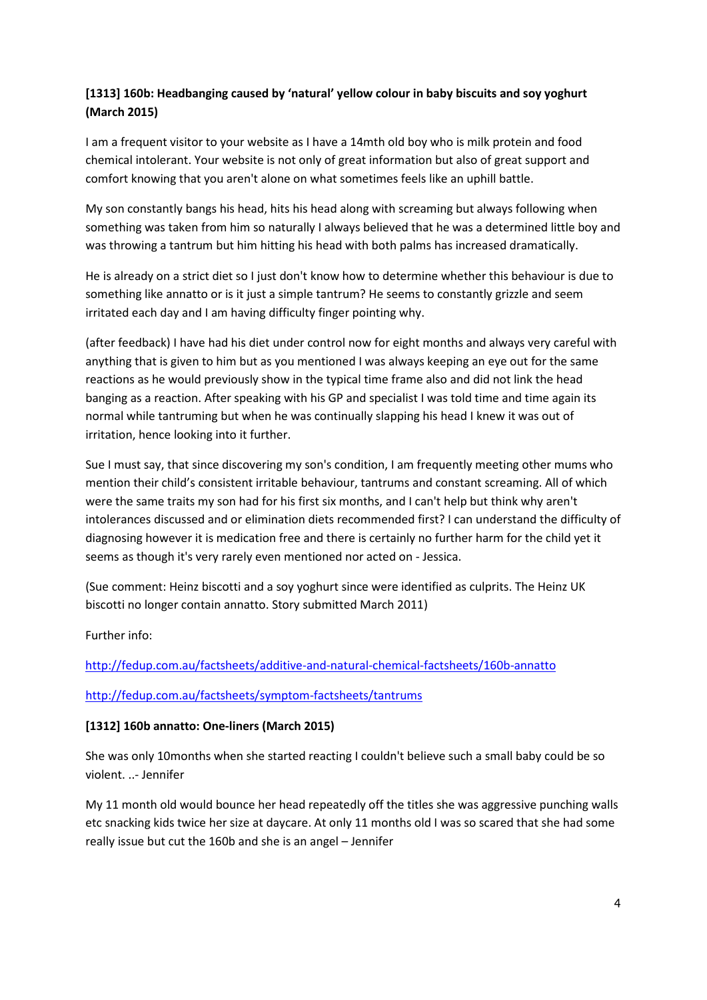# **[1313] 160b: Headbanging caused by 'natural' yellow colour in baby biscuits and soy yoghurt (March 2015)**

I am a frequent visitor to your website as I have a 14mth old boy who is milk protein and food chemical intolerant. Your website is not only of great information but also of great support and comfort knowing that you aren't alone on what sometimes feels like an uphill battle.

My son constantly bangs his head, hits his head along with screaming but always following when something was taken from him so naturally I always believed that he was a determined little boy and was throwing a tantrum but him hitting his head with both palms has increased dramatically.

He is already on a strict diet so I just don't know how to determine whether this behaviour is due to something like annatto or is it just a simple tantrum? He seems to constantly grizzle and seem irritated each day and I am having difficulty finger pointing why.

(after feedback) I have had his diet under control now for eight months and always very careful with anything that is given to him but as you mentioned I was always keeping an eye out for the same reactions as he would previously show in the typical time frame also and did not link the head banging as a reaction. After speaking with his GP and specialist I was told time and time again its normal while tantruming but when he was continually slapping his head I knew it was out of irritation, hence looking into it further.

Sue I must say, that since discovering my son's condition, I am frequently meeting other mums who mention their child's consistent irritable behaviour, tantrums and constant screaming. All of which were the same traits my son had for his first six months, and I can't help but think why aren't intolerances discussed and or elimination diets recommended first? I can understand the difficulty of diagnosing however it is medication free and there is certainly no further harm for the child yet it seems as though it's very rarely even mentioned nor acted on - Jessica.

(Sue comment: Heinz biscotti and a soy yoghurt since were identified as culprits. The Heinz UK biscotti no longer contain annatto. Story submitted March 2011)

Further info:

<http://fedup.com.au/factsheets/additive-and-natural-chemical-factsheets/160b-annatto>

## <http://fedup.com.au/factsheets/symptom-factsheets/tantrums>

## **[1312] 160b annatto: One-liners (March 2015)**

She was only 10months when she started reacting I couldn't believe such a small baby could be so violent. ..- Jennifer

My 11 month old would bounce her head repeatedly off the titles she was aggressive punching walls etc snacking kids twice her size at daycare. At only 11 months old I was so scared that she had some really issue but cut the 160b and she is an angel – Jennifer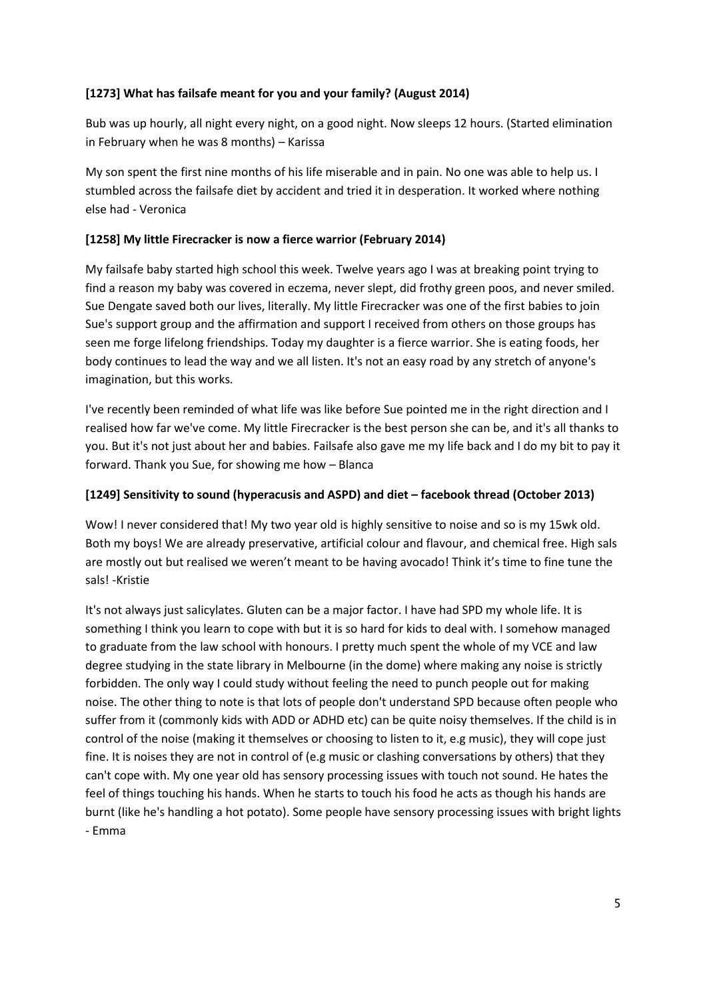## **[1273] What has failsafe meant for you and your family? (August 2014)**

Bub was up hourly, all night every night, on a good night. Now sleeps 12 hours. (Started elimination in February when he was 8 months) – Karissa

My son spent the first nine months of his life miserable and in pain. No one was able to help us. I stumbled across the failsafe diet by accident and tried it in desperation. It worked where nothing else had - Veronica

#### **[1258] My little Firecracker is now a fierce warrior (February 2014)**

My failsafe baby started high school this week. Twelve years ago I was at breaking point trying to find a reason my baby was covered in eczema, never slept, did frothy green poos, and never smiled. Sue Dengate saved both our lives, literally. My little Firecracker was one of the first babies to join Sue's support group and the affirmation and support I received from others on those groups has seen me forge lifelong friendships. Today my daughter is a fierce warrior. She is eating foods, her body continues to lead the way and we all listen. It's not an easy road by any stretch of anyone's imagination, but this works.

I've recently been reminded of what life was like before Sue pointed me in the right direction and I realised how far we've come. My little Firecracker is the best person she can be, and it's all thanks to you. But it's not just about her and babies. Failsafe also gave me my life back and I do my bit to pay it forward. Thank you Sue, for showing me how – Blanca

#### **[1249] Sensitivity to sound (hyperacusis and ASPD) and diet – facebook thread (October 2013)**

Wow! I never considered that! My two year old is highly sensitive to noise and so is my 15wk old. Both my boys! We are already preservative, artificial colour and flavour, and chemical free. High sals are mostly out but realised we weren't meant to be having avocado! Think it's time to fine tune the sals! -Kristie

It's not always just salicylates. Gluten can be a major factor. I have had SPD my whole life. It is something I think you learn to cope with but it is so hard for kids to deal with. I somehow managed to graduate from the law school with honours. I pretty much spent the whole of my VCE and law degree studying in the state library in Melbourne (in the dome) where making any noise is strictly forbidden. The only way I could study without feeling the need to punch people out for making noise. The other thing to note is that lots of people don't understand SPD because often people who suffer from it (commonly kids with ADD or ADHD etc) can be quite noisy themselves. If the child is in control of the noise (making it themselves or choosing to listen to it, e.g music), they will cope just fine. It is noises they are not in control of (e.g music or clashing conversations by others) that they can't cope with. My one year old has sensory processing issues with touch not sound. He hates the feel of things touching his hands. When he starts to touch his food he acts as though his hands are burnt (like he's handling a hot potato). Some people have sensory processing issues with bright lights - Emma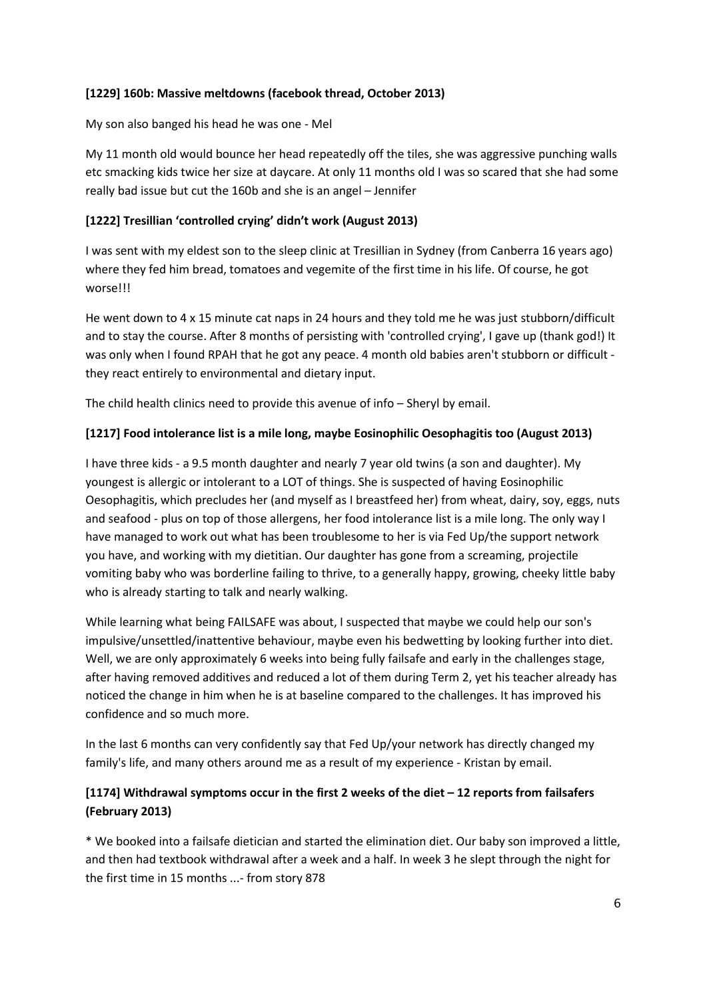## **[1229] 160b: Massive meltdowns (facebook thread, October 2013)**

My son also banged his head he was one - Mel

My 11 month old would bounce her head repeatedly off the tiles, she was aggressive punching walls etc smacking kids twice her size at daycare. At only 11 months old I was so scared that she had some really bad issue but cut the 160b and she is an angel – Jennifer

# **[1222] Tresillian 'controlled crying' didn't work (August 2013)**

I was sent with my eldest son to the sleep clinic at Tresillian in Sydney (from Canberra 16 years ago) where they fed him bread, tomatoes and vegemite of the first time in his life. Of course, he got worse!!!

He went down to  $4 \times 15$  minute cat naps in 24 hours and they told me he was just stubborn/difficult and to stay the course. After 8 months of persisting with 'controlled crying', I gave up (thank god!) It was only when I found RPAH that he got any peace. 4 month old babies aren't stubborn or difficult they react entirely to environmental and dietary input.

The child health clinics need to provide this avenue of info – Sheryl by email.

# **[1217] Food intolerance list is a mile long, maybe Eosinophilic Oesophagitis too (August 2013)**

I have three kids - a 9.5 month daughter and nearly 7 year old twins (a son and daughter). My youngest is allergic or intolerant to a LOT of things. She is suspected of having Eosinophilic Oesophagitis, which precludes her (and myself as I breastfeed her) from wheat, dairy, soy, eggs, nuts and seafood - plus on top of those allergens, her food intolerance list is a mile long. The only way I have managed to work out what has been troublesome to her is via Fed Up/the support network you have, and working with my dietitian. Our daughter has gone from a screaming, projectile vomiting baby who was borderline failing to thrive, to a generally happy, growing, cheeky little baby who is already starting to talk and nearly walking.

While learning what being FAILSAFE was about, I suspected that maybe we could help our son's impulsive/unsettled/inattentive behaviour, maybe even his bedwetting by looking further into diet. Well, we are only approximately 6 weeks into being fully failsafe and early in the challenges stage, after having removed additives and reduced a lot of them during Term 2, yet his teacher already has noticed the change in him when he is at baseline compared to the challenges. It has improved his confidence and so much more.

In the last 6 months can very confidently say that Fed Up/your network has directly changed my family's life, and many others around me as a result of my experience - Kristan by email.

# **[1174] Withdrawal symptoms occur in the first 2 weeks of the diet – 12 reports from failsafers (February 2013)**

\* We booked into a failsafe dietician and started the elimination diet. Our baby son improved a little, and then had textbook withdrawal after a week and a half. In week 3 he slept through the night for the first time in 15 months ...- from story 878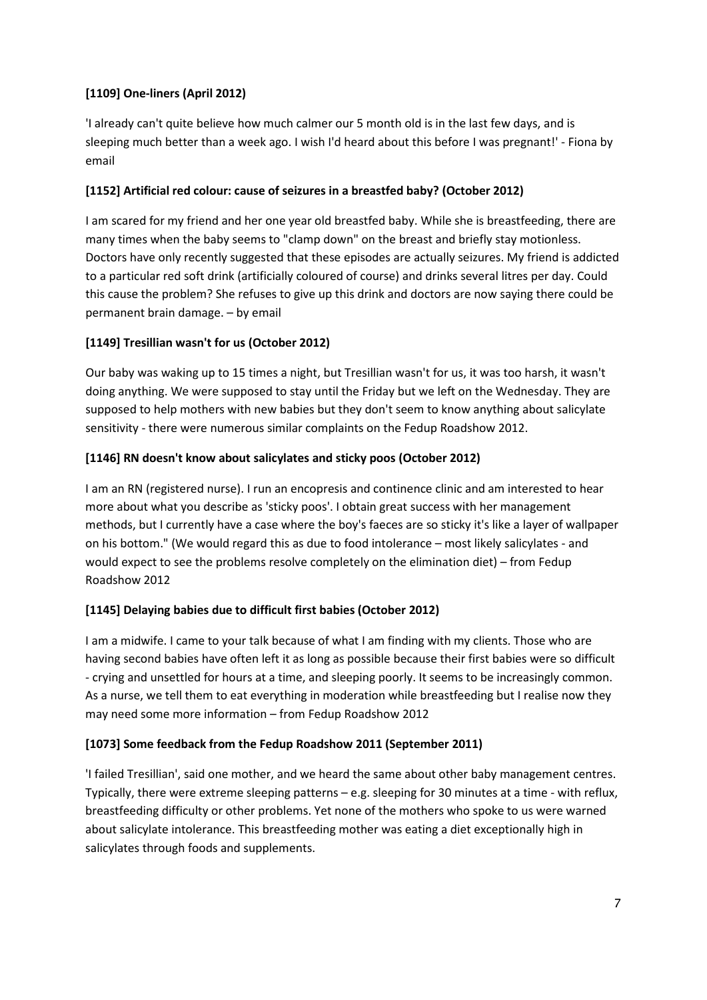# **[1109] One-liners (April 2012)**

'I already can't quite believe how much calmer our 5 month old is in the last few days, and is sleeping much better than a week ago. I wish I'd heard about this before I was pregnant!' - Fiona by email

# **[1152] Artificial red colour: cause of seizures in a breastfed baby? (October 2012)**

I am scared for my friend and her one year old breastfed baby. While she is breastfeeding, there are many times when the baby seems to "clamp down" on the breast and briefly stay motionless. Doctors have only recently suggested that these episodes are actually seizures. My friend is addicted to a particular red soft drink (artificially coloured of course) and drinks several litres per day. Could this cause the problem? She refuses to give up this drink and doctors are now saying there could be permanent brain damage. – by email

# **[1149] Tresillian wasn't for us (October 2012)**

Our baby was waking up to 15 times a night, but Tresillian wasn't for us, it was too harsh, it wasn't doing anything. We were supposed to stay until the Friday but we left on the Wednesday. They are supposed to help mothers with new babies but they don't seem to know anything about salicylate sensitivity - there were numerous similar complaints on the Fedup Roadshow 2012.

# **[1146] RN doesn't know about salicylates and sticky poos (October 2012)**

I am an RN (registered nurse). I run an encopresis and continence clinic and am interested to hear more about what you describe as 'sticky poos'. I obtain great success with her management methods, but I currently have a case where the boy's faeces are so sticky it's like a layer of wallpaper on his bottom." (We would regard this as due to food intolerance – most likely salicylates - and would expect to see the problems resolve completely on the elimination diet) – from Fedup Roadshow 2012

# **[1145] Delaying babies due to difficult first babies (October 2012)**

I am a midwife. I came to your talk because of what I am finding with my clients. Those who are having second babies have often left it as long as possible because their first babies were so difficult - crying and unsettled for hours at a time, and sleeping poorly. It seems to be increasingly common. As a nurse, we tell them to eat everything in moderation while breastfeeding but I realise now they may need some more information – from Fedup Roadshow 2012

# **[1073] Some feedback from the Fedup Roadshow 2011 (September 2011)**

'I failed Tresillian', said one mother, and we heard the same about other baby management centres. Typically, there were extreme sleeping patterns – e.g. sleeping for 30 minutes at a time - with reflux, breastfeeding difficulty or other problems. Yet none of the mothers who spoke to us were warned about salicylate intolerance. This breastfeeding mother was eating a diet exceptionally high in salicylates through foods and supplements.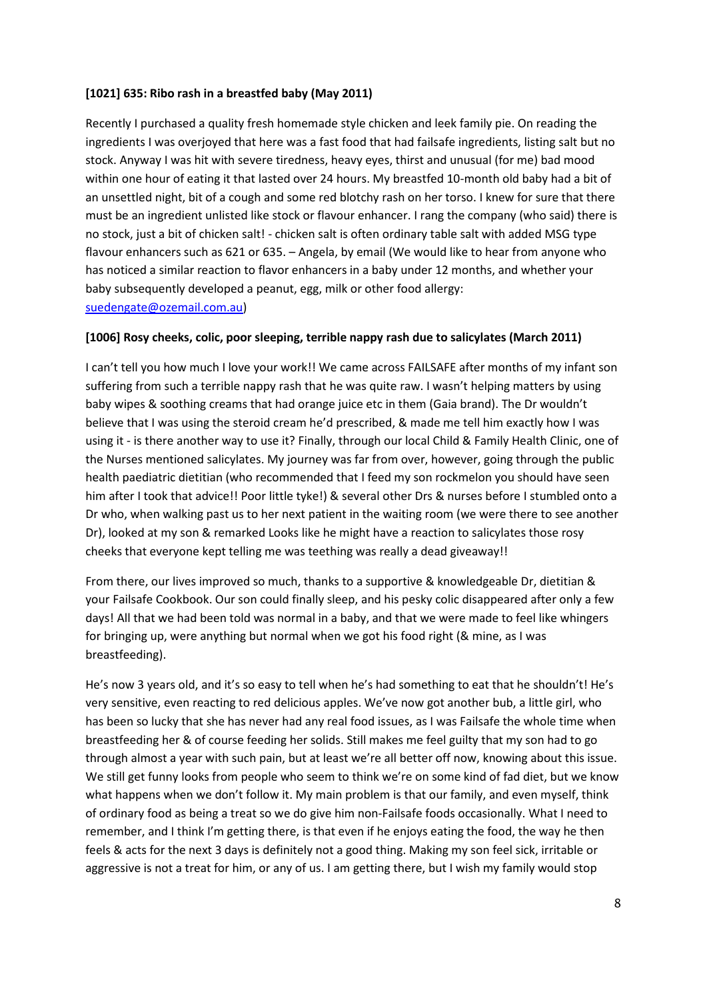### **[1021] 635: Ribo rash in a breastfed baby (May 2011)**

Recently I purchased a quality fresh homemade style chicken and leek family pie. On reading the ingredients I was overjoyed that here was a fast food that had failsafe ingredients, listing salt but no stock. Anyway I was hit with severe tiredness, heavy eyes, thirst and unusual (for me) bad mood within one hour of eating it that lasted over 24 hours. My breastfed 10-month old baby had a bit of an unsettled night, bit of a cough and some red blotchy rash on her torso. I knew for sure that there must be an ingredient unlisted like stock or flavour enhancer. I rang the company (who said) there is no stock, just a bit of chicken salt! - chicken salt is often ordinary table salt with added MSG type flavour enhancers such as 621 or 635. – Angela, by email (We would like to hear from anyone who has noticed a similar reaction to flavor enhancers in a baby under 12 months, and whether your baby subsequently developed a peanut, egg, milk or other food allergy: [suedengate@ozemail.com.au\)](mailto:suedengate@ozemail.com.au)

#### **[1006] Rosy cheeks, colic, poor sleeping, terrible nappy rash due to salicylates (March 2011)**

I can't tell you how much I love your work!! We came across FAILSAFE after months of my infant son suffering from such a terrible nappy rash that he was quite raw. I wasn't helping matters by using baby wipes & soothing creams that had orange juice etc in them (Gaia brand). The Dr wouldn't believe that I was using the steroid cream he'd prescribed, & made me tell him exactly how I was using it - is there another way to use it? Finally, through our local Child & Family Health Clinic, one of the Nurses mentioned salicylates. My journey was far from over, however, going through the public health paediatric dietitian (who recommended that I feed my son rockmelon you should have seen him after I took that advice!! Poor little tyke!) & several other Drs & nurses before I stumbled onto a Dr who, when walking past us to her next patient in the waiting room (we were there to see another Dr), looked at my son & remarked Looks like he might have a reaction to salicylates those rosy cheeks that everyone kept telling me was teething was really a dead giveaway!!

From there, our lives improved so much, thanks to a supportive & knowledgeable Dr, dietitian & your Failsafe Cookbook. Our son could finally sleep, and his pesky colic disappeared after only a few days! All that we had been told was normal in a baby, and that we were made to feel like whingers for bringing up, were anything but normal when we got his food right (& mine, as I was breastfeeding).

He's now 3 years old, and it's so easy to tell when he's had something to eat that he shouldn't! He's very sensitive, even reacting to red delicious apples. We've now got another bub, a little girl, who has been so lucky that she has never had any real food issues, as I was Failsafe the whole time when breastfeeding her & of course feeding her solids. Still makes me feel guilty that my son had to go through almost a year with such pain, but at least we're all better off now, knowing about this issue. We still get funny looks from people who seem to think we're on some kind of fad diet, but we know what happens when we don't follow it. My main problem is that our family, and even myself, think of ordinary food as being a treat so we do give him non-Failsafe foods occasionally. What I need to remember, and I think I'm getting there, is that even if he enjoys eating the food, the way he then feels & acts for the next 3 days is definitely not a good thing. Making my son feel sick, irritable or aggressive is not a treat for him, or any of us. I am getting there, but I wish my family would stop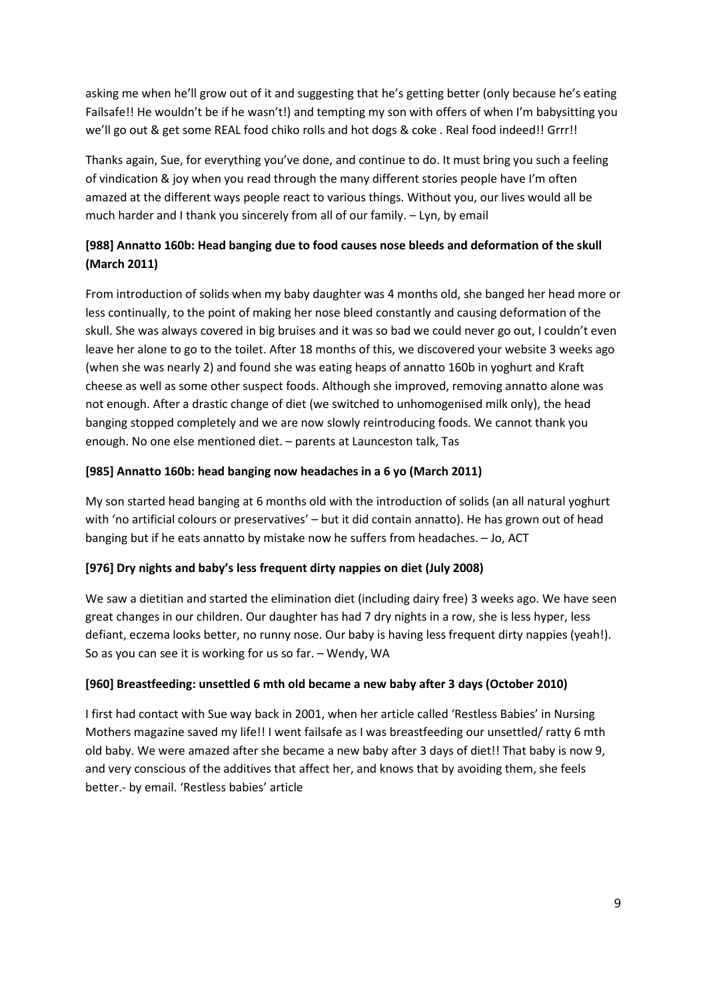asking me when he'll grow out of it and suggesting that he's getting better (only because he's eating Failsafe!! He wouldn't be if he wasn't!) and tempting my son with offers of when I'm babysitting you we'll go out & get some REAL food chiko rolls and hot dogs & coke . Real food indeed!! Grrr!!

Thanks again, Sue, for everything you've done, and continue to do. It must bring you such a feeling of vindication & joy when you read through the many different stories people have I'm often amazed at the different ways people react to various things. Without you, our lives would all be much harder and I thank you sincerely from all of our family. – Lyn, by email

# **[988] Annatto 160b: Head banging due to food causes nose bleeds and deformation of the skull (March 2011)**

From introduction of solids when my baby daughter was 4 months old, she banged her head more or less continually, to the point of making her nose bleed constantly and causing deformation of the skull. She was always covered in big bruises and it was so bad we could never go out, I couldn't even leave her alone to go to the toilet. After 18 months of this, we discovered your website 3 weeks ago (when she was nearly 2) and found she was eating heaps of annatto 160b in yoghurt and Kraft cheese as well as some other suspect foods. Although she improved, removing annatto alone was not enough. After a drastic change of diet (we switched to unhomogenised milk only), the head banging stopped completely and we are now slowly reintroducing foods. We cannot thank you enough. No one else mentioned diet. – parents at Launceston talk, Tas

# **[985] Annatto 160b: head banging now headaches in a 6 yo (March 2011)**

My son started head banging at 6 months old with the introduction of solids (an all natural yoghurt with 'no artificial colours or preservatives' – but it did contain annatto). He has grown out of head banging but if he eats annatto by mistake now he suffers from headaches. – Jo, ACT

## **[976] Dry nights and baby's less frequent dirty nappies on diet (July 2008)**

We saw a dietitian and started the elimination diet (including dairy free) 3 weeks ago. We have seen great changes in our children. Our daughter has had 7 dry nights in a row, she is less hyper, less defiant, eczema looks better, no runny nose. Our baby is having less frequent dirty nappies (yeah!). So as you can see it is working for us so far. – Wendy, WA

## **[960] Breastfeeding: unsettled 6 mth old became a new baby after 3 days (October 2010)**

I first had contact with Sue way back in 2001, when her article called 'Restless Babies' in Nursing Mothers magazine saved my life!! I went failsafe as I was breastfeeding our unsettled/ ratty 6 mth old baby. We were amazed after she became a new baby after 3 days of diet!! That baby is now 9, and very conscious of the additives that affect her, and knows that by avoiding them, she feels better.- by email. 'Restless babies' article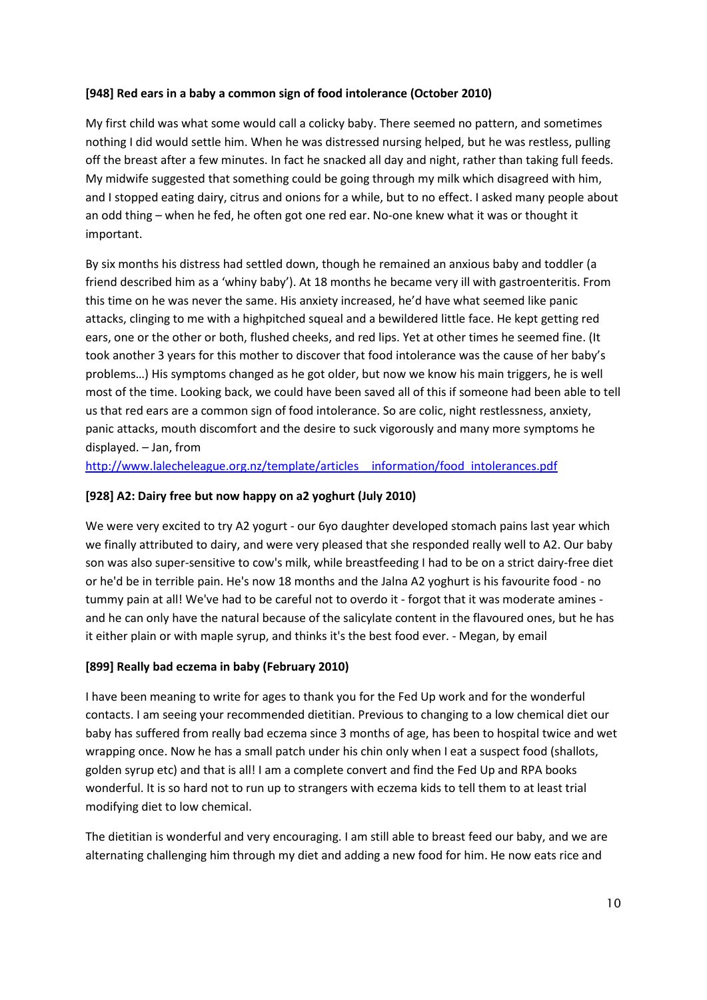# **[948] Red ears in a baby a common sign of food intolerance (October 2010)**

My first child was what some would call a colicky baby. There seemed no pattern, and sometimes nothing I did would settle him. When he was distressed nursing helped, but he was restless, pulling off the breast after a few minutes. In fact he snacked all day and night, rather than taking full feeds. My midwife suggested that something could be going through my milk which disagreed with him, and I stopped eating dairy, citrus and onions for a while, but to no effect. I asked many people about an odd thing – when he fed, he often got one red ear. No-one knew what it was or thought it important.

By six months his distress had settled down, though he remained an anxious baby and toddler (a friend described him as a 'whiny baby'). At 18 months he became very ill with gastroenteritis. From this time on he was never the same. His anxiety increased, he'd have what seemed like panic attacks, clinging to me with a highpitched squeal and a bewildered little face. He kept getting red ears, one or the other or both, flushed cheeks, and red lips. Yet at other times he seemed fine. (It took another 3 years for this mother to discover that food intolerance was the cause of her baby's problems…) His symptoms changed as he got older, but now we know his main triggers, he is well most of the time. Looking back, we could have been saved all of this if someone had been able to tell us that red ears are a common sign of food intolerance. So are colic, night restlessness, anxiety, panic attacks, mouth discomfort and the desire to suck vigorously and many more symptoms he displayed. – Jan, from

http://www.lalecheleague.org.nz/template/articles information/food intolerances.pdf

# **[928] A2: Dairy free but now happy on a2 yoghurt (July 2010)**

We were very excited to try A2 yogurt - our 6yo daughter developed stomach pains last year which we finally attributed to dairy, and were very pleased that she responded really well to A2. Our baby son was also super-sensitive to cow's milk, while breastfeeding I had to be on a strict dairy-free diet or he'd be in terrible pain. He's now 18 months and the Jalna A2 yoghurt is his favourite food - no tummy pain at all! We've had to be careful not to overdo it - forgot that it was moderate amines and he can only have the natural because of the salicylate content in the flavoured ones, but he has it either plain or with maple syrup, and thinks it's the best food ever. - Megan, by email

## **[899] Really bad eczema in baby (February 2010)**

I have been meaning to write for ages to thank you for the Fed Up work and for the wonderful contacts. I am seeing your recommended dietitian. Previous to changing to a low chemical diet our baby has suffered from really bad eczema since 3 months of age, has been to hospital twice and wet wrapping once. Now he has a small patch under his chin only when I eat a suspect food (shallots, golden syrup etc) and that is all! I am a complete convert and find the Fed Up and RPA books wonderful. It is so hard not to run up to strangers with eczema kids to tell them to at least trial modifying diet to low chemical.

The dietitian is wonderful and very encouraging. I am still able to breast feed our baby, and we are alternating challenging him through my diet and adding a new food for him. He now eats rice and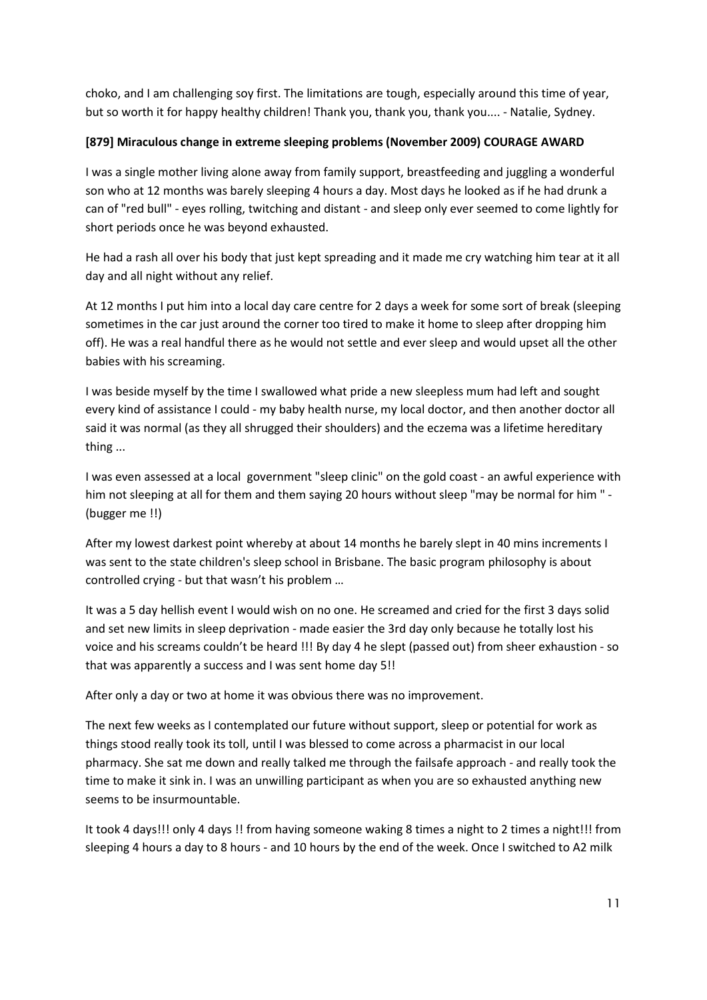choko, and I am challenging soy first. The limitations are tough, especially around this time of year, but so worth it for happy healthy children! Thank you, thank you, thank you.... - Natalie, Sydney.

# **[879] Miraculous change in extreme sleeping problems (November 2009) COURAGE AWARD**

I was a single mother living alone away from family support, breastfeeding and juggling a wonderful son who at 12 months was barely sleeping 4 hours a day. Most days he looked as if he had drunk a can of "red bull" - eyes rolling, twitching and distant - and sleep only ever seemed to come lightly for short periods once he was beyond exhausted.

He had a rash all over his body that just kept spreading and it made me cry watching him tear at it all day and all night without any relief.

At 12 months I put him into a local day care centre for 2 days a week for some sort of break (sleeping sometimes in the car just around the corner too tired to make it home to sleep after dropping him off). He was a real handful there as he would not settle and ever sleep and would upset all the other babies with his screaming.

I was beside myself by the time I swallowed what pride a new sleepless mum had left and sought every kind of assistance I could - my baby health nurse, my local doctor, and then another doctor all said it was normal (as they all shrugged their shoulders) and the eczema was a lifetime hereditary thing ...

I was even assessed at a local government "sleep clinic" on the gold coast - an awful experience with him not sleeping at all for them and them saying 20 hours without sleep "may be normal for him " - (bugger me !!)

After my lowest darkest point whereby at about 14 months he barely slept in 40 mins increments I was sent to the state children's sleep school in Brisbane. The basic program philosophy is about controlled crying - but that wasn't his problem …

It was a 5 day hellish event I would wish on no one. He screamed and cried for the first 3 days solid and set new limits in sleep deprivation - made easier the 3rd day only because he totally lost his voice and his screams couldn't be heard !!! By day 4 he slept (passed out) from sheer exhaustion - so that was apparently a success and I was sent home day 5!!

After only a day or two at home it was obvious there was no improvement.

The next few weeks as I contemplated our future without support, sleep or potential for work as things stood really took its toll, until I was blessed to come across a pharmacist in our local pharmacy. She sat me down and really talked me through the failsafe approach - and really took the time to make it sink in. I was an unwilling participant as when you are so exhausted anything new seems to be insurmountable.

It took 4 days!!! only 4 days !! from having someone waking 8 times a night to 2 times a night!!! from sleeping 4 hours a day to 8 hours - and 10 hours by the end of the week. Once I switched to A2 milk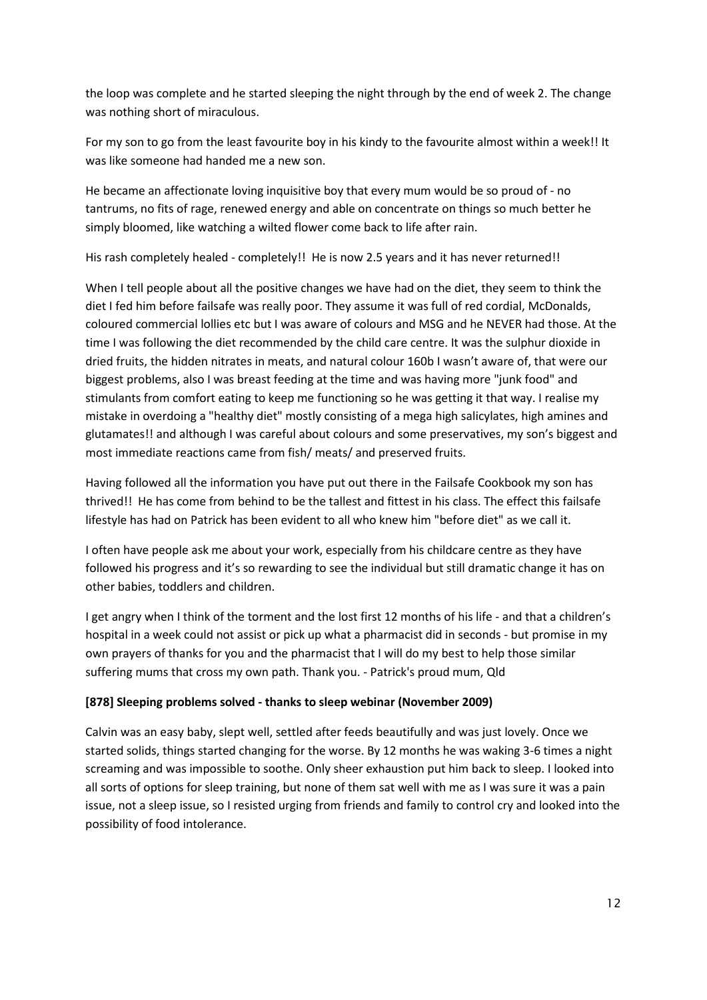the loop was complete and he started sleeping the night through by the end of week 2. The change was nothing short of miraculous.

For my son to go from the least favourite boy in his kindy to the favourite almost within a week!! It was like someone had handed me a new son.

He became an affectionate loving inquisitive boy that every mum would be so proud of - no tantrums, no fits of rage, renewed energy and able on concentrate on things so much better he simply bloomed, like watching a wilted flower come back to life after rain.

His rash completely healed - completely!! He is now 2.5 years and it has never returned!!

When I tell people about all the positive changes we have had on the diet, they seem to think the diet I fed him before failsafe was really poor. They assume it was full of red cordial, McDonalds, coloured commercial lollies etc but I was aware of colours and MSG and he NEVER had those. At the time I was following the diet recommended by the child care centre. It was the sulphur dioxide in dried fruits, the hidden nitrates in meats, and natural colour 160b I wasn't aware of, that were our biggest problems, also I was breast feeding at the time and was having more "junk food" and stimulants from comfort eating to keep me functioning so he was getting it that way. I realise my mistake in overdoing a "healthy diet" mostly consisting of a mega high salicylates, high amines and glutamates!! and although I was careful about colours and some preservatives, my son's biggest and most immediate reactions came from fish/ meats/ and preserved fruits.

Having followed all the information you have put out there in the Failsafe Cookbook my son has thrived!! He has come from behind to be the tallest and fittest in his class. The effect this failsafe lifestyle has had on Patrick has been evident to all who knew him "before diet" as we call it.

I often have people ask me about your work, especially from his childcare centre as they have followed his progress and it's so rewarding to see the individual but still dramatic change it has on other babies, toddlers and children.

I get angry when I think of the torment and the lost first 12 months of his life - and that a children's hospital in a week could not assist or pick up what a pharmacist did in seconds - but promise in my own prayers of thanks for you and the pharmacist that I will do my best to help those similar suffering mums that cross my own path. Thank you. - Patrick's proud mum, Qld

## **[878] Sleeping problems solved - thanks to sleep webinar (November 2009)**

Calvin was an easy baby, slept well, settled after feeds beautifully and was just lovely. Once we started solids, things started changing for the worse. By 12 months he was waking 3-6 times a night screaming and was impossible to soothe. Only sheer exhaustion put him back to sleep. I looked into all sorts of options for sleep training, but none of them sat well with me as I was sure it was a pain issue, not a sleep issue, so I resisted urging from friends and family to control cry and looked into the possibility of food intolerance.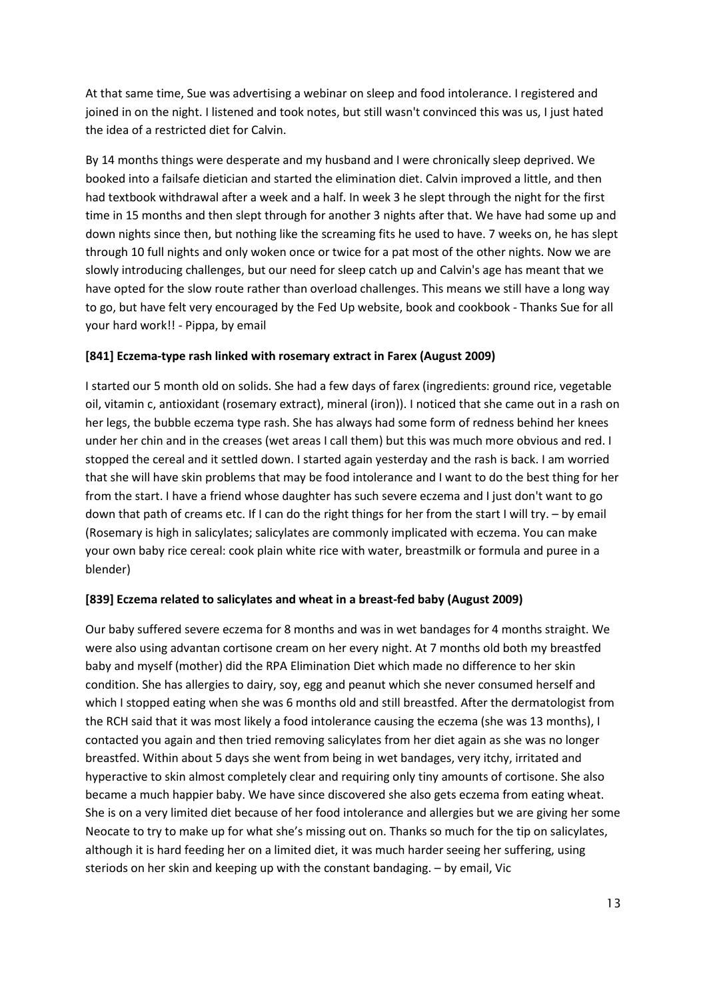At that same time, Sue was advertising a webinar on sleep and food intolerance. I registered and joined in on the night. I listened and took notes, but still wasn't convinced this was us, I just hated the idea of a restricted diet for Calvin.

By 14 months things were desperate and my husband and I were chronically sleep deprived. We booked into a failsafe dietician and started the elimination diet. Calvin improved a little, and then had textbook withdrawal after a week and a half. In week 3 he slept through the night for the first time in 15 months and then slept through for another 3 nights after that. We have had some up and down nights since then, but nothing like the screaming fits he used to have. 7 weeks on, he has slept through 10 full nights and only woken once or twice for a pat most of the other nights. Now we are slowly introducing challenges, but our need for sleep catch up and Calvin's age has meant that we have opted for the slow route rather than overload challenges. This means we still have a long way to go, but have felt very encouraged by the Fed Up website, book and cookbook - Thanks Sue for all your hard work!! - Pippa, by email

#### **[841] Eczema-type rash linked with rosemary extract in Farex (August 2009)**

I started our 5 month old on solids. She had a few days of farex (ingredients: ground rice, vegetable oil, vitamin c, antioxidant (rosemary extract), mineral (iron)). I noticed that she came out in a rash on her legs, the bubble eczema type rash. She has always had some form of redness behind her knees under her chin and in the creases (wet areas I call them) but this was much more obvious and red. I stopped the cereal and it settled down. I started again yesterday and the rash is back. I am worried that she will have skin problems that may be food intolerance and I want to do the best thing for her from the start. I have a friend whose daughter has such severe eczema and I just don't want to go down that path of creams etc. If I can do the right things for her from the start I will try. – by email (Rosemary is high in salicylates; salicylates are commonly implicated with eczema. You can make your own baby rice cereal: cook plain white rice with water, breastmilk or formula and puree in a blender)

## **[839] Eczema related to salicylates and wheat in a breast-fed baby (August 2009)**

Our baby suffered severe eczema for 8 months and was in wet bandages for 4 months straight. We were also using advantan cortisone cream on her every night. At 7 months old both my breastfed baby and myself (mother) did the RPA Elimination Diet which made no difference to her skin condition. She has allergies to dairy, soy, egg and peanut which she never consumed herself and which I stopped eating when she was 6 months old and still breastfed. After the dermatologist from the RCH said that it was most likely a food intolerance causing the eczema (she was 13 months), I contacted you again and then tried removing salicylates from her diet again as she was no longer breastfed. Within about 5 days she went from being in wet bandages, very itchy, irritated and hyperactive to skin almost completely clear and requiring only tiny amounts of cortisone. She also became a much happier baby. We have since discovered she also gets eczema from eating wheat. She is on a very limited diet because of her food intolerance and allergies but we are giving her some Neocate to try to make up for what she's missing out on. Thanks so much for the tip on salicylates, although it is hard feeding her on a limited diet, it was much harder seeing her suffering, using steriods on her skin and keeping up with the constant bandaging. – by email, Vic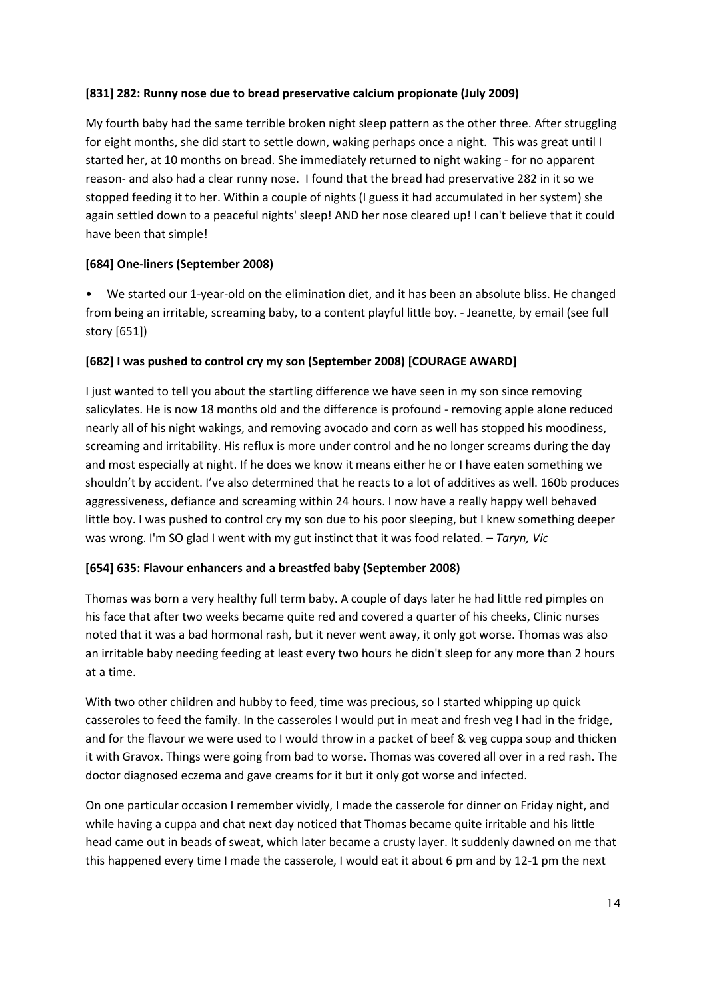## **[831] 282: Runny nose due to bread preservative calcium propionate (July 2009)**

My fourth baby had the same terrible broken night sleep pattern as the other three. After struggling for eight months, she did start to settle down, waking perhaps once a night. This was great until I started her, at 10 months on bread. She immediately returned to night waking - for no apparent reason- and also had a clear runny nose. I found that the bread had preservative 282 in it so we stopped feeding it to her. Within a couple of nights (I guess it had accumulated in her system) she again settled down to a peaceful nights' sleep! AND her nose cleared up! I can't believe that it could have been that simple!

## **[684] One-liners (September 2008)**

• We started our 1-year-old on the elimination diet, and it has been an absolute bliss. He changed from being an irritable, screaming baby, to a content playful little boy. - Jeanette, by email (see full story [651])

#### **[682] I was pushed to control cry my son (September 2008) [COURAGE AWARD]**

I just wanted to tell you about the startling difference we have seen in my son since removing salicylates. He is now 18 months old and the difference is profound - removing apple alone reduced nearly all of his night wakings, and removing avocado and corn as well has stopped his moodiness, screaming and irritability. His reflux is more under control and he no longer screams during the day and most especially at night. If he does we know it means either he or I have eaten something we shouldn't by accident. I've also determined that he reacts to a lot of additives as well. 160b produces aggressiveness, defiance and screaming within 24 hours. I now have a really happy well behaved little boy. I was pushed to control cry my son due to his poor sleeping, but I knew something deeper was wrong. I'm SO glad I went with my gut instinct that it was food related. – *Taryn, Vic*

#### **[654] 635: Flavour enhancers and a breastfed baby (September 2008)**

Thomas was born a very healthy full term baby. A couple of days later he had little red pimples on his face that after two weeks became quite red and covered a quarter of his cheeks, Clinic nurses noted that it was a bad hormonal rash, but it never went away, it only got worse. Thomas was also an irritable baby needing feeding at least every two hours he didn't sleep for any more than 2 hours at a time.

With two other children and hubby to feed, time was precious, so I started whipping up quick casseroles to feed the family. In the casseroles I would put in meat and fresh veg I had in the fridge, and for the flavour we were used to I would throw in a packet of beef & veg cuppa soup and thicken it with Gravox. Things were going from bad to worse. Thomas was covered all over in a red rash. The doctor diagnosed eczema and gave creams for it but it only got worse and infected.

On one particular occasion I remember vividly, I made the casserole for dinner on Friday night, and while having a cuppa and chat next day noticed that Thomas became quite irritable and his little head came out in beads of sweat, which later became a crusty layer. It suddenly dawned on me that this happened every time I made the casserole, I would eat it about 6 pm and by 12-1 pm the next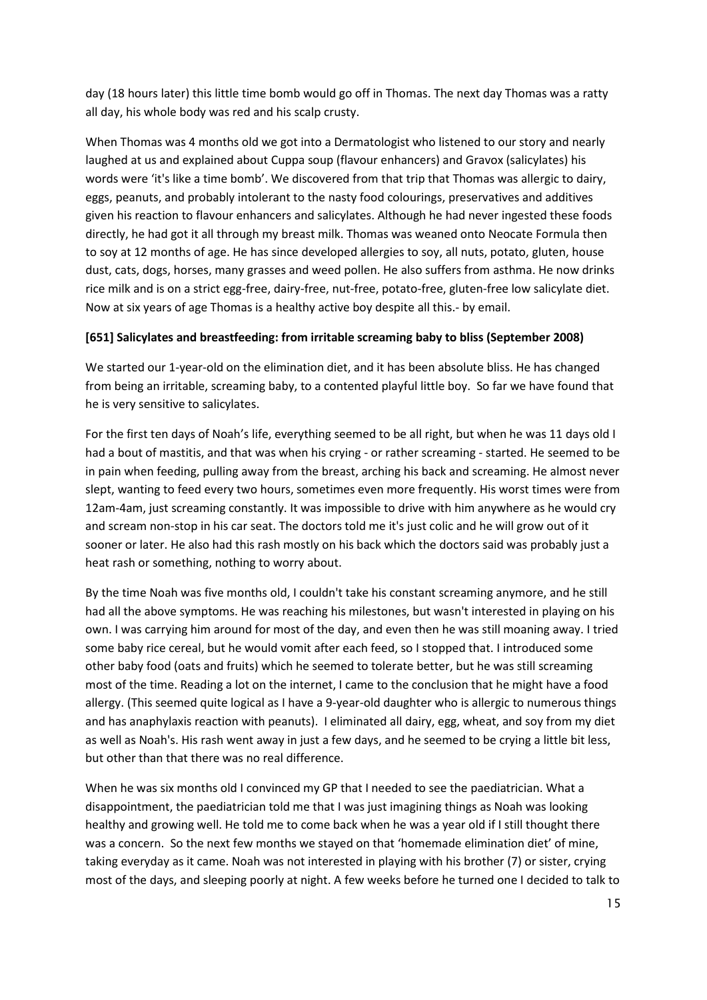day (18 hours later) this little time bomb would go off in Thomas. The next day Thomas was a ratty all day, his whole body was red and his scalp crusty.

When Thomas was 4 months old we got into a Dermatologist who listened to our story and nearly laughed at us and explained about Cuppa soup (flavour enhancers) and Gravox (salicylates) his words were 'it's like a time bomb'. We discovered from that trip that Thomas was allergic to dairy, eggs, peanuts, and probably intolerant to the nasty food colourings, preservatives and additives given his reaction to flavour enhancers and salicylates. Although he had never ingested these foods directly, he had got it all through my breast milk. Thomas was weaned onto Neocate Formula then to soy at 12 months of age. He has since developed allergies to soy, all nuts, potato, gluten, house dust, cats, dogs, horses, many grasses and weed pollen. He also suffers from asthma. He now drinks rice milk and is on a strict egg-free, dairy-free, nut-free, potato-free, gluten-free low salicylate diet. Now at six years of age Thomas is a healthy active boy despite all this.- by email.

## **[651] Salicylates and breastfeeding: from irritable screaming baby to bliss (September 2008)**

We started our 1-year-old on the elimination diet, and it has been absolute bliss. He has changed from being an irritable, screaming baby, to a contented playful little boy. So far we have found that he is very sensitive to salicylates.

For the first ten days of Noah's life, everything seemed to be all right, but when he was 11 days old I had a bout of mastitis, and that was when his crying - or rather screaming - started. He seemed to be in pain when feeding, pulling away from the breast, arching his back and screaming. He almost never slept, wanting to feed every two hours, sometimes even more frequently. His worst times were from 12am-4am, just screaming constantly. It was impossible to drive with him anywhere as he would cry and scream non-stop in his car seat. The doctors told me it's just colic and he will grow out of it sooner or later. He also had this rash mostly on his back which the doctors said was probably just a heat rash or something, nothing to worry about.

By the time Noah was five months old, I couldn't take his constant screaming anymore, and he still had all the above symptoms. He was reaching his milestones, but wasn't interested in playing on his own. I was carrying him around for most of the day, and even then he was still moaning away. I tried some baby rice cereal, but he would vomit after each feed, so I stopped that. I introduced some other baby food (oats and fruits) which he seemed to tolerate better, but he was still screaming most of the time. Reading a lot on the internet, I came to the conclusion that he might have a food allergy. (This seemed quite logical as I have a 9-year-old daughter who is allergic to numerous things and has anaphylaxis reaction with peanuts). I eliminated all dairy, egg, wheat, and soy from my diet as well as Noah's. His rash went away in just a few days, and he seemed to be crying a little bit less, but other than that there was no real difference.

When he was six months old I convinced my GP that I needed to see the paediatrician. What a disappointment, the paediatrician told me that I was just imagining things as Noah was looking healthy and growing well. He told me to come back when he was a year old if I still thought there was a concern. So the next few months we stayed on that 'homemade elimination diet' of mine, taking everyday as it came. Noah was not interested in playing with his brother (7) or sister, crying most of the days, and sleeping poorly at night. A few weeks before he turned one I decided to talk to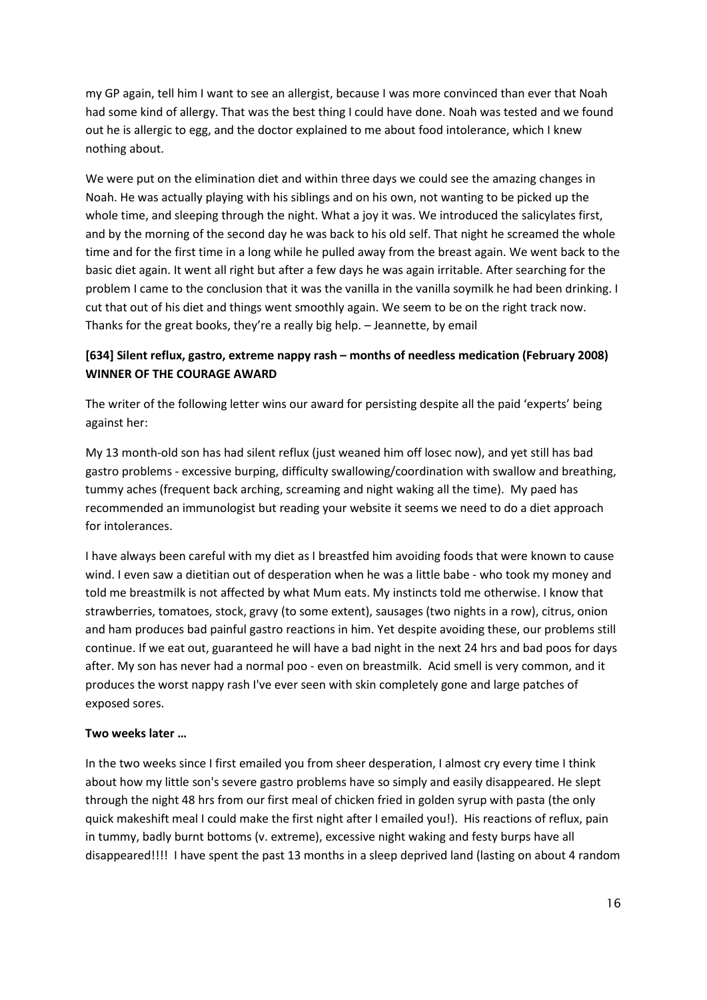my GP again, tell him I want to see an allergist, because I was more convinced than ever that Noah had some kind of allergy. That was the best thing I could have done. Noah was tested and we found out he is allergic to egg, and the doctor explained to me about food intolerance, which I knew nothing about.

We were put on the elimination diet and within three days we could see the amazing changes in Noah. He was actually playing with his siblings and on his own, not wanting to be picked up the whole time, and sleeping through the night. What a joy it was. We introduced the salicylates first, and by the morning of the second day he was back to his old self. That night he screamed the whole time and for the first time in a long while he pulled away from the breast again. We went back to the basic diet again. It went all right but after a few days he was again irritable. After searching for the problem I came to the conclusion that it was the vanilla in the vanilla soymilk he had been drinking. I cut that out of his diet and things went smoothly again. We seem to be on the right track now. Thanks for the great books, they're a really big help. – Jeannette, by email

# **[634] Silent reflux, gastro, extreme nappy rash – months of needless medication (February 2008) WINNER OF THE COURAGE AWARD**

The writer of the following letter wins our award for persisting despite all the paid 'experts' being against her:

My 13 month-old son has had silent reflux (just weaned him off losec now), and yet still has bad gastro problems - excessive burping, difficulty swallowing/coordination with swallow and breathing, tummy aches (frequent back arching, screaming and night waking all the time). My paed has recommended an immunologist but reading your website it seems we need to do a diet approach for intolerances.

I have always been careful with my diet as I breastfed him avoiding foods that were known to cause wind. I even saw a dietitian out of desperation when he was a little babe - who took my money and told me breastmilk is not affected by what Mum eats. My instincts told me otherwise. I know that strawberries, tomatoes, stock, gravy (to some extent), sausages (two nights in a row), citrus, onion and ham produces bad painful gastro reactions in him. Yet despite avoiding these, our problems still continue. If we eat out, guaranteed he will have a bad night in the next 24 hrs and bad poos for days after. My son has never had a normal poo - even on breastmilk. Acid smell is very common, and it produces the worst nappy rash I've ever seen with skin completely gone and large patches of exposed sores.

## **Two weeks later …**

In the two weeks since I first emailed you from sheer desperation, I almost cry every time I think about how my little son's severe gastro problems have so simply and easily disappeared. He slept through the night 48 hrs from our first meal of chicken fried in golden syrup with pasta (the only quick makeshift meal I could make the first night after I emailed you!). His reactions of reflux, pain in tummy, badly burnt bottoms (v. extreme), excessive night waking and festy burps have all disappeared!!!! I have spent the past 13 months in a sleep deprived land (lasting on about 4 random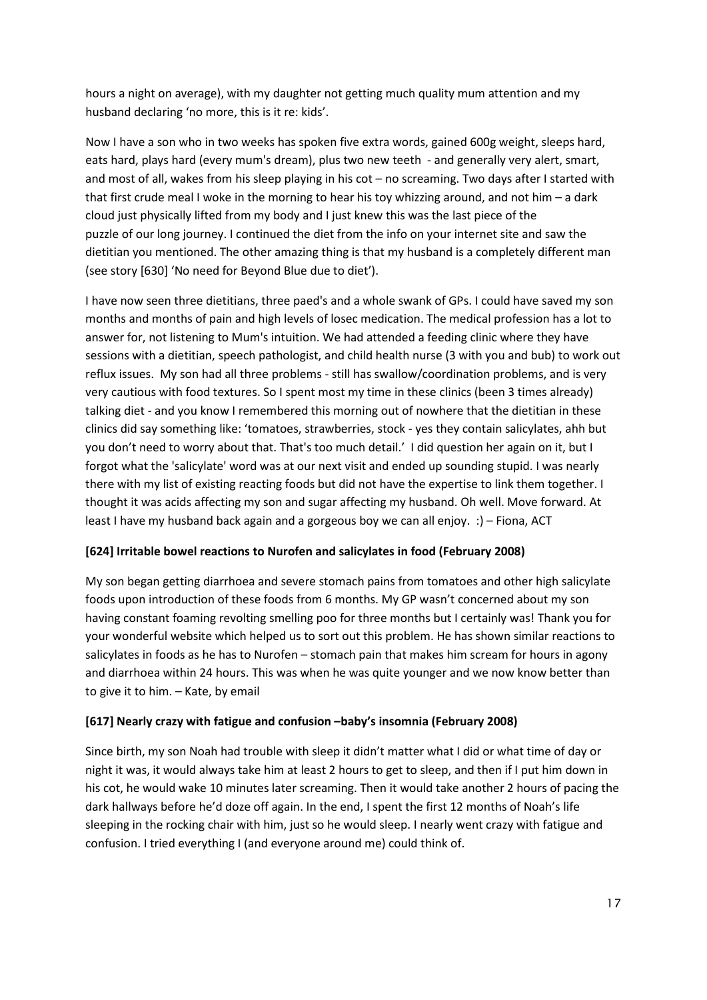hours a night on average), with my daughter not getting much quality mum attention and my husband declaring 'no more, this is it re: kids'.

Now I have a son who in two weeks has spoken five extra words, gained 600g weight, sleeps hard, eats hard, plays hard (every mum's dream), plus two new teeth - and generally very alert, smart, and most of all, wakes from his sleep playing in his cot – no screaming. Two days after I started with that first crude meal I woke in the morning to hear his toy whizzing around, and not him – a dark cloud just physically lifted from my body and I just knew this was the last piece of the puzzle of our long journey. I continued the diet from the info on your internet site and saw the dietitian you mentioned. The other amazing thing is that my husband is a completely different man (see story [630] 'No need for Beyond Blue due to diet').

I have now seen three dietitians, three paed's and a whole swank of GPs. I could have saved my son months and months of pain and high levels of losec medication. The medical profession has a lot to answer for, not listening to Mum's intuition. We had attended a feeding clinic where they have sessions with a dietitian, speech pathologist, and child health nurse (3 with you and bub) to work out reflux issues. My son had all three problems - still has swallow/coordination problems, and is very very cautious with food textures. So I spent most my time in these clinics (been 3 times already) talking diet - and you know I remembered this morning out of nowhere that the dietitian in these clinics did say something like: 'tomatoes, strawberries, stock - yes they contain salicylates, ahh but you don't need to worry about that. That's too much detail.' I did question her again on it, but I forgot what the 'salicylate' word was at our next visit and ended up sounding stupid. I was nearly there with my list of existing reacting foods but did not have the expertise to link them together. I thought it was acids affecting my son and sugar affecting my husband. Oh well. Move forward. At least I have my husband back again and a gorgeous boy we can all enjoy. :) – Fiona, ACT

## **[624] Irritable bowel reactions to Nurofen and salicylates in food (February 2008)**

My son began getting diarrhoea and severe stomach pains from tomatoes and other high salicylate foods upon introduction of these foods from 6 months. My GP wasn't concerned about my son having constant foaming revolting smelling poo for three months but I certainly was! Thank you for your wonderful website which helped us to sort out this problem. He has shown similar reactions to salicylates in foods as he has to Nurofen – stomach pain that makes him scream for hours in agony and diarrhoea within 24 hours. This was when he was quite younger and we now know better than to give it to him. – Kate, by email

## **[617] Nearly crazy with fatigue and confusion –baby's insomnia (February 2008)**

Since birth, my son Noah had trouble with sleep it didn't matter what I did or what time of day or night it was, it would always take him at least 2 hours to get to sleep, and then if I put him down in his cot, he would wake 10 minutes later screaming. Then it would take another 2 hours of pacing the dark hallways before he'd doze off again. In the end, I spent the first 12 months of Noah's life sleeping in the rocking chair with him, just so he would sleep. I nearly went crazy with fatigue and confusion. I tried everything I (and everyone around me) could think of.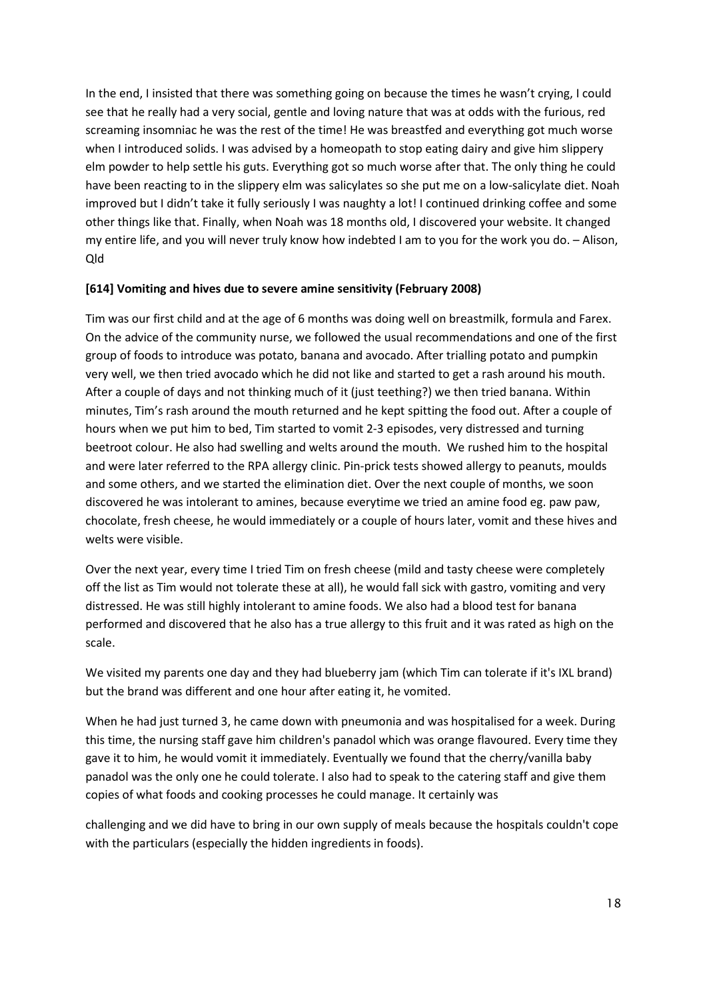In the end, I insisted that there was something going on because the times he wasn't crying, I could see that he really had a very social, gentle and loving nature that was at odds with the furious, red screaming insomniac he was the rest of the time! He was breastfed and everything got much worse when I introduced solids. I was advised by a homeopath to stop eating dairy and give him slippery elm powder to help settle his guts. Everything got so much worse after that. The only thing he could have been reacting to in the slippery elm was salicylates so she put me on a low-salicylate diet. Noah improved but I didn't take it fully seriously I was naughty a lot! I continued drinking coffee and some other things like that. Finally, when Noah was 18 months old, I discovered your website. It changed my entire life, and you will never truly know how indebted I am to you for the work you do. – Alison, Qld

#### **[614] Vomiting and hives due to severe amine sensitivity (February 2008)**

Tim was our first child and at the age of 6 months was doing well on breastmilk, formula and Farex. On the advice of the community nurse, we followed the usual recommendations and one of the first group of foods to introduce was potato, banana and avocado. After trialling potato and pumpkin very well, we then tried avocado which he did not like and started to get a rash around his mouth. After a couple of days and not thinking much of it (just teething?) we then tried banana. Within minutes, Tim's rash around the mouth returned and he kept spitting the food out. After a couple of hours when we put him to bed, Tim started to vomit 2-3 episodes, very distressed and turning beetroot colour. He also had swelling and welts around the mouth. We rushed him to the hospital and were later referred to the RPA allergy clinic. Pin-prick tests showed allergy to peanuts, moulds and some others, and we started the elimination diet. Over the next couple of months, we soon discovered he was intolerant to amines, because everytime we tried an amine food eg. paw paw, chocolate, fresh cheese, he would immediately or a couple of hours later, vomit and these hives and welts were visible.

Over the next year, every time I tried Tim on fresh cheese (mild and tasty cheese were completely off the list as Tim would not tolerate these at all), he would fall sick with gastro, vomiting and very distressed. He was still highly intolerant to amine foods. We also had a blood test for banana performed and discovered that he also has a true allergy to this fruit and it was rated as high on the scale.

We visited my parents one day and they had blueberry jam (which Tim can tolerate if it's IXL brand) but the brand was different and one hour after eating it, he vomited.

When he had just turned 3, he came down with pneumonia and was hospitalised for a week. During this time, the nursing staff gave him children's panadol which was orange flavoured. Every time they gave it to him, he would vomit it immediately. Eventually we found that the cherry/vanilla baby panadol was the only one he could tolerate. I also had to speak to the catering staff and give them copies of what foods and cooking processes he could manage. It certainly was

challenging and we did have to bring in our own supply of meals because the hospitals couldn't cope with the particulars (especially the hidden ingredients in foods).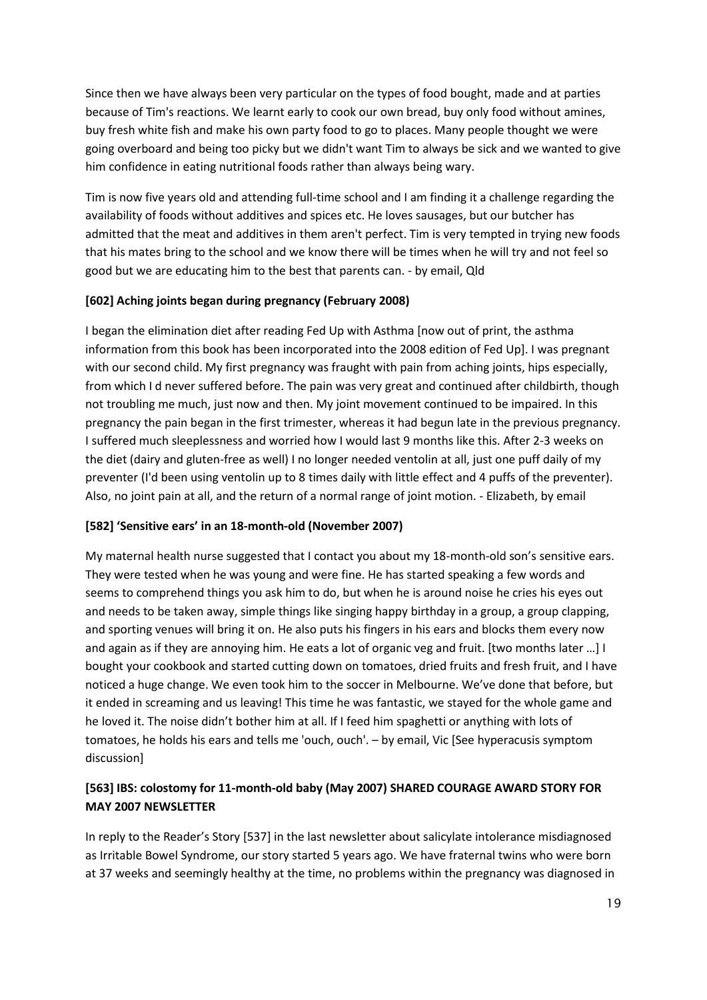Since then we have always been very particular on the types of food bought, made and at parties because of Tim's reactions. We learnt early to cook our own bread, buy only food without amines, buy fresh white fish and make his own party food to go to places. Many people thought we were going overboard and being too picky but we didn't want Tim to always be sick and we wanted to give him confidence in eating nutritional foods rather than always being wary.

Tim is now five years old and attending full-time school and I am finding it a challenge regarding the availability of foods without additives and spices etc. He loves sausages, but our butcher has admitted that the meat and additives in them aren't perfect. Tim is very tempted in trying new foods that his mates bring to the school and we know there will be times when he will try and not feel so good but we are educating him to the best that parents can. - by email, Qld

## **[602] Aching joints began during pregnancy (February 2008)**

I began the elimination diet after reading Fed Up with Asthma [now out of print, the asthma information from this book has been incorporated into the 2008 edition of Fed Up]. I was pregnant with our second child. My first pregnancy was fraught with pain from aching joints, hips especially, from which I d never suffered before. The pain was very great and continued after childbirth, though not troubling me much, just now and then. My joint movement continued to be impaired. In this pregnancy the pain began in the first trimester, whereas it had begun late in the previous pregnancy. I suffered much sleeplessness and worried how I would last 9 months like this. After 2-3 weeks on the diet (dairy and gluten-free as well) I no longer needed ventolin at all, just one puff daily of my preventer (I'd been using ventolin up to 8 times daily with little effect and 4 puffs of the preventer). Also, no joint pain at all, and the return of a normal range of joint motion. - Elizabeth, by email

## **[582] 'Sensitive ears' in an 18-month-old (November 2007)**

My maternal health nurse suggested that I contact you about my 18-month-old son's sensitive ears. They were tested when he was young and were fine. He has started speaking a few words and seems to comprehend things you ask him to do, but when he is around noise he cries his eyes out and needs to be taken away, simple things like singing happy birthday in a group, a group clapping, and sporting venues will bring it on. He also puts his fingers in his ears and blocks them every now and again as if they are annoying him. He eats a lot of organic veg and fruit. [two months later …] I bought your cookbook and started cutting down on tomatoes, dried fruits and fresh fruit, and I have noticed a huge change. We even took him to the soccer in Melbourne. We've done that before, but it ended in screaming and us leaving! This time he was fantastic, we stayed for the whole game and he loved it. The noise didn't bother him at all. If I feed him spaghetti or anything with lots of tomatoes, he holds his ears and tells me 'ouch, ouch'. – by email, Vic [See hyperacusis symptom discussion]

# **[563] IBS: colostomy for 11-month-old baby (May 2007) SHARED COURAGE AWARD STORY FOR MAY 2007 NEWSLETTER**

In reply to the Reader's Story [537] in the last newsletter about salicylate intolerance misdiagnosed as Irritable Bowel Syndrome, our story started 5 years ago. We have fraternal twins who were born at 37 weeks and seemingly healthy at the time, no problems within the pregnancy was diagnosed in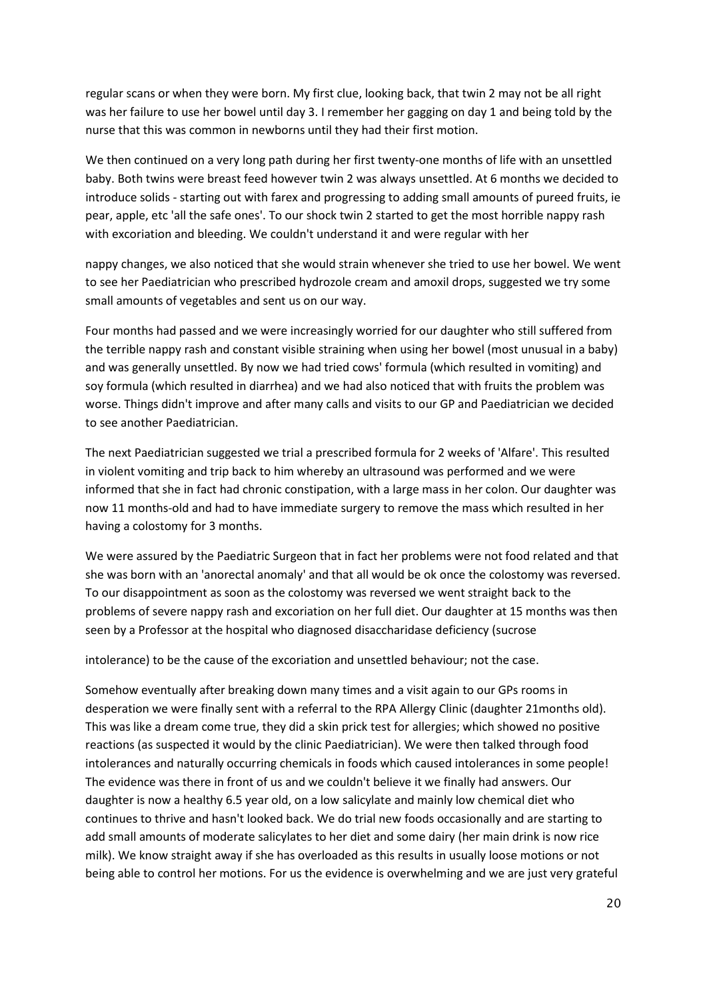regular scans or when they were born. My first clue, looking back, that twin 2 may not be all right was her failure to use her bowel until day 3. I remember her gagging on day 1 and being told by the nurse that this was common in newborns until they had their first motion.

We then continued on a very long path during her first twenty-one months of life with an unsettled baby. Both twins were breast feed however twin 2 was always unsettled. At 6 months we decided to introduce solids - starting out with farex and progressing to adding small amounts of pureed fruits, ie pear, apple, etc 'all the safe ones'. To our shock twin 2 started to get the most horrible nappy rash with excoriation and bleeding. We couldn't understand it and were regular with her

nappy changes, we also noticed that she would strain whenever she tried to use her bowel. We went to see her Paediatrician who prescribed hydrozole cream and amoxil drops, suggested we try some small amounts of vegetables and sent us on our way.

Four months had passed and we were increasingly worried for our daughter who still suffered from the terrible nappy rash and constant visible straining when using her bowel (most unusual in a baby) and was generally unsettled. By now we had tried cows' formula (which resulted in vomiting) and soy formula (which resulted in diarrhea) and we had also noticed that with fruits the problem was worse. Things didn't improve and after many calls and visits to our GP and Paediatrician we decided to see another Paediatrician.

The next Paediatrician suggested we trial a prescribed formula for 2 weeks of 'Alfare'. This resulted in violent vomiting and trip back to him whereby an ultrasound was performed and we were informed that she in fact had chronic constipation, with a large mass in her colon. Our daughter was now 11 months-old and had to have immediate surgery to remove the mass which resulted in her having a colostomy for 3 months.

We were assured by the Paediatric Surgeon that in fact her problems were not food related and that she was born with an 'anorectal anomaly' and that all would be ok once the colostomy was reversed. To our disappointment as soon as the colostomy was reversed we went straight back to the problems of severe nappy rash and excoriation on her full diet. Our daughter at 15 months was then seen by a Professor at the hospital who diagnosed disaccharidase deficiency (sucrose

intolerance) to be the cause of the excoriation and unsettled behaviour; not the case.

Somehow eventually after breaking down many times and a visit again to our GPs rooms in desperation we were finally sent with a referral to the RPA Allergy Clinic (daughter 21months old). This was like a dream come true, they did a skin prick test for allergies; which showed no positive reactions (as suspected it would by the clinic Paediatrician). We were then talked through food intolerances and naturally occurring chemicals in foods which caused intolerances in some people! The evidence was there in front of us and we couldn't believe it we finally had answers. Our daughter is now a healthy 6.5 year old, on a low salicylate and mainly low chemical diet who continues to thrive and hasn't looked back. We do trial new foods occasionally and are starting to add small amounts of moderate salicylates to her diet and some dairy (her main drink is now rice milk). We know straight away if she has overloaded as this results in usually loose motions or not being able to control her motions. For us the evidence is overwhelming and we are just very grateful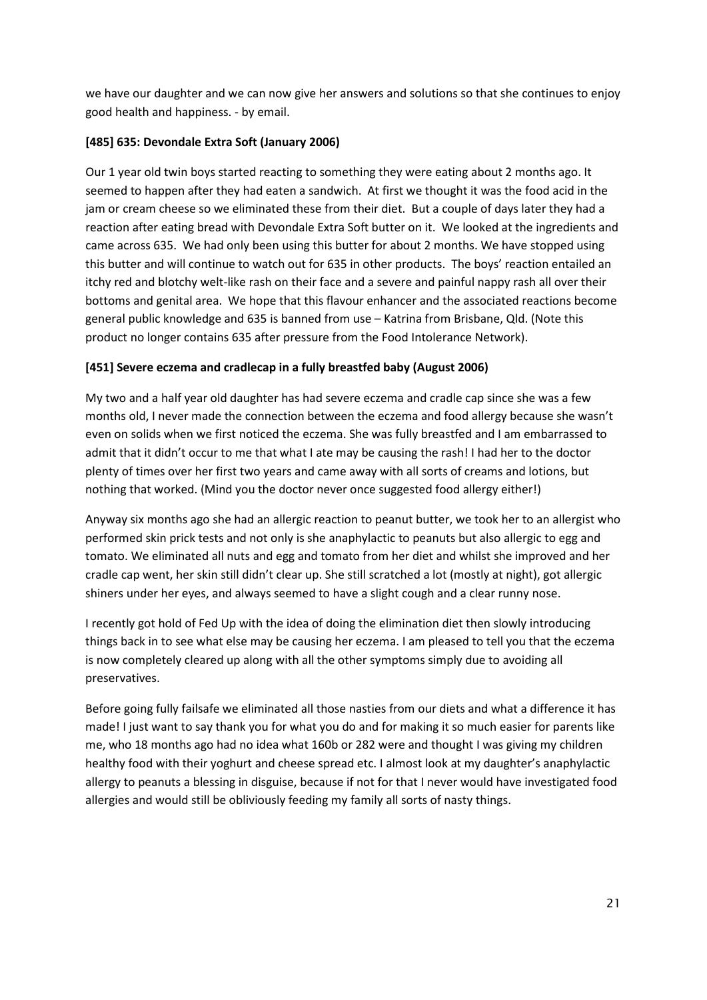we have our daughter and we can now give her answers and solutions so that she continues to enjoy good health and happiness. - by email.

# **[485] 635: Devondale Extra Soft (January 2006)**

Our 1 year old twin boys started reacting to something they were eating about 2 months ago. It seemed to happen after they had eaten a sandwich. At first we thought it was the food acid in the jam or cream cheese so we eliminated these from their diet. But a couple of days later they had a reaction after eating bread with Devondale Extra Soft butter on it. We looked at the ingredients and came across 635. We had only been using this butter for about 2 months. We have stopped using this butter and will continue to watch out for 635 in other products. The boys' reaction entailed an itchy red and blotchy welt-like rash on their face and a severe and painful nappy rash all over their bottoms and genital area. We hope that this flavour enhancer and the associated reactions become general public knowledge and 635 is banned from use – Katrina from Brisbane, Qld. (Note this product no longer contains 635 after pressure from the Food Intolerance Network).

# **[451] Severe eczema and cradlecap in a fully breastfed baby (August 2006)**

My two and a half year old daughter has had severe eczema and cradle cap since she was a few months old, I never made the connection between the eczema and food allergy because she wasn't even on solids when we first noticed the eczema. She was fully breastfed and I am embarrassed to admit that it didn't occur to me that what I ate may be causing the rash! I had her to the doctor plenty of times over her first two years and came away with all sorts of creams and lotions, but nothing that worked. (Mind you the doctor never once suggested food allergy either!)

Anyway six months ago she had an allergic reaction to peanut butter, we took her to an allergist who performed skin prick tests and not only is she anaphylactic to peanuts but also allergic to egg and tomato. We eliminated all nuts and egg and tomato from her diet and whilst she improved and her cradle cap went, her skin still didn't clear up. She still scratched a lot (mostly at night), got allergic shiners under her eyes, and always seemed to have a slight cough and a clear runny nose.

I recently got hold of Fed Up with the idea of doing the elimination diet then slowly introducing things back in to see what else may be causing her eczema. I am pleased to tell you that the eczema is now completely cleared up along with all the other symptoms simply due to avoiding all preservatives.

Before going fully failsafe we eliminated all those nasties from our diets and what a difference it has made! I just want to say thank you for what you do and for making it so much easier for parents like me, who 18 months ago had no idea what 160b or 282 were and thought I was giving my children healthy food with their yoghurt and cheese spread etc. I almost look at my daughter's anaphylactic allergy to peanuts a blessing in disguise, because if not for that I never would have investigated food allergies and would still be obliviously feeding my family all sorts of nasty things.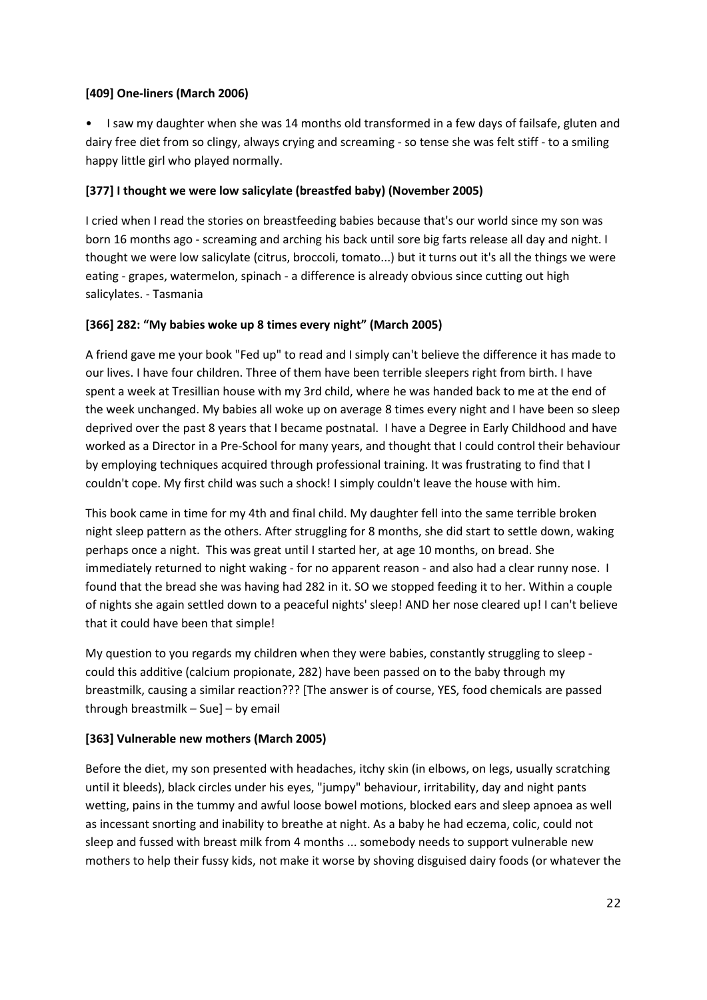# **[409] One-liners (March 2006)**

• I saw my daughter when she was 14 months old transformed in a few days of failsafe, gluten and dairy free diet from so clingy, always crying and screaming - so tense she was felt stiff - to a smiling happy little girl who played normally.

# **[377] I thought we were low salicylate (breastfed baby) (November 2005)**

I cried when I read the stories on breastfeeding babies because that's our world since my son was born 16 months ago - screaming and arching his back until sore big farts release all day and night. I thought we were low salicylate (citrus, broccoli, tomato...) but it turns out it's all the things we were eating - grapes, watermelon, spinach - a difference is already obvious since cutting out high salicylates. - Tasmania

# **[366] 282: "My babies woke up 8 times every night" (March 2005)**

A friend gave me your book "Fed up" to read and I simply can't believe the difference it has made to our lives. I have four children. Three of them have been terrible sleepers right from birth. I have spent a week at Tresillian house with my 3rd child, where he was handed back to me at the end of the week unchanged. My babies all woke up on average 8 times every night and I have been so sleep deprived over the past 8 years that I became postnatal. I have a Degree in Early Childhood and have worked as a Director in a Pre-School for many years, and thought that I could control their behaviour by employing techniques acquired through professional training. It was frustrating to find that I couldn't cope. My first child was such a shock! I simply couldn't leave the house with him.

This book came in time for my 4th and final child. My daughter fell into the same terrible broken night sleep pattern as the others. After struggling for 8 months, she did start to settle down, waking perhaps once a night. This was great until I started her, at age 10 months, on bread. She immediately returned to night waking - for no apparent reason - and also had a clear runny nose. I found that the bread she was having had 282 in it. SO we stopped feeding it to her. Within a couple of nights she again settled down to a peaceful nights' sleep! AND her nose cleared up! I can't believe that it could have been that simple!

My question to you regards my children when they were babies, constantly struggling to sleep could this additive (calcium propionate, 282) have been passed on to the baby through my breastmilk, causing a similar reaction??? [The answer is of course, YES, food chemicals are passed through breastmilk – Sue] – by email

# **[363] Vulnerable new mothers (March 2005)**

Before the diet, my son presented with headaches, itchy skin (in elbows, on legs, usually scratching until it bleeds), black circles under his eyes, "jumpy" behaviour, irritability, day and night pants wetting, pains in the tummy and awful loose bowel motions, blocked ears and sleep apnoea as well as incessant snorting and inability to breathe at night. As a baby he had eczema, colic, could not sleep and fussed with breast milk from 4 months ... somebody needs to support vulnerable new mothers to help their fussy kids, not make it worse by shoving disguised dairy foods (or whatever the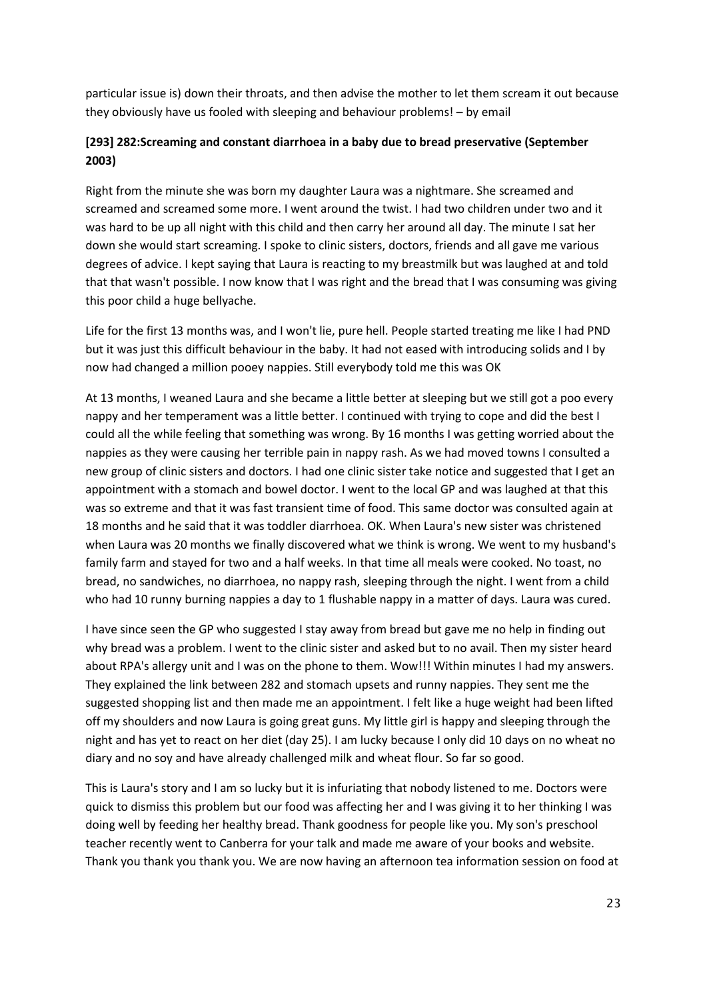particular issue is) down their throats, and then advise the mother to let them scream it out because they obviously have us fooled with sleeping and behaviour problems! – by email

# **[293] 282:Screaming and constant diarrhoea in a baby due to bread preservative (September 2003)**

Right from the minute she was born my daughter Laura was a nightmare. She screamed and screamed and screamed some more. I went around the twist. I had two children under two and it was hard to be up all night with this child and then carry her around all day. The minute I sat her down she would start screaming. I spoke to clinic sisters, doctors, friends and all gave me various degrees of advice. I kept saying that Laura is reacting to my breastmilk but was laughed at and told that that wasn't possible. I now know that I was right and the bread that I was consuming was giving this poor child a huge bellyache.

Life for the first 13 months was, and I won't lie, pure hell. People started treating me like I had PND but it was just this difficult behaviour in the baby. It had not eased with introducing solids and I by now had changed a million pooey nappies. Still everybody told me this was OK

At 13 months, I weaned Laura and she became a little better at sleeping but we still got a poo every nappy and her temperament was a little better. I continued with trying to cope and did the best I could all the while feeling that something was wrong. By 16 months I was getting worried about the nappies as they were causing her terrible pain in nappy rash. As we had moved towns I consulted a new group of clinic sisters and doctors. I had one clinic sister take notice and suggested that I get an appointment with a stomach and bowel doctor. I went to the local GP and was laughed at that this was so extreme and that it was fast transient time of food. This same doctor was consulted again at 18 months and he said that it was toddler diarrhoea. OK. When Laura's new sister was christened when Laura was 20 months we finally discovered what we think is wrong. We went to my husband's family farm and stayed for two and a half weeks. In that time all meals were cooked. No toast, no bread, no sandwiches, no diarrhoea, no nappy rash, sleeping through the night. I went from a child who had 10 runny burning nappies a day to 1 flushable nappy in a matter of days. Laura was cured.

I have since seen the GP who suggested I stay away from bread but gave me no help in finding out why bread was a problem. I went to the clinic sister and asked but to no avail. Then my sister heard about RPA's allergy unit and I was on the phone to them. Wow!!! Within minutes I had my answers. They explained the link between 282 and stomach upsets and runny nappies. They sent me the suggested shopping list and then made me an appointment. I felt like a huge weight had been lifted off my shoulders and now Laura is going great guns. My little girl is happy and sleeping through the night and has yet to react on her diet (day 25). I am lucky because I only did 10 days on no wheat no diary and no soy and have already challenged milk and wheat flour. So far so good.

This is Laura's story and I am so lucky but it is infuriating that nobody listened to me. Doctors were quick to dismiss this problem but our food was affecting her and I was giving it to her thinking I was doing well by feeding her healthy bread. Thank goodness for people like you. My son's preschool teacher recently went to Canberra for your talk and made me aware of your books and website. Thank you thank you thank you. We are now having an afternoon tea information session on food at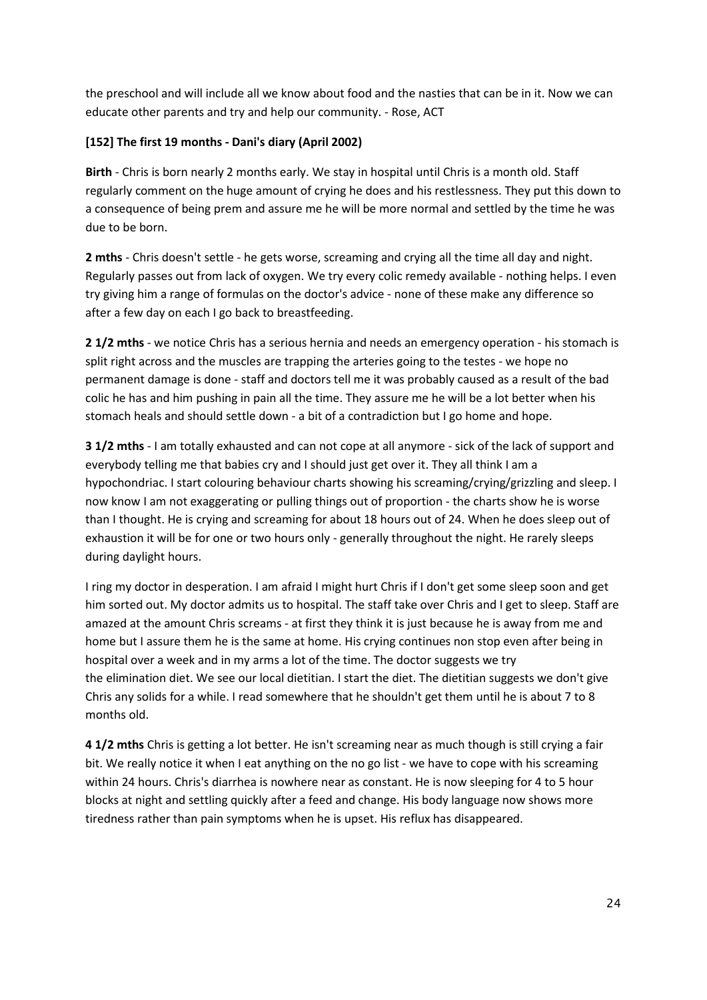the preschool and will include all we know about food and the nasties that can be in it. Now we can educate other parents and try and help our community. - Rose, ACT

# **[152] The first 19 months - Dani's diary (April 2002)**

**Birth** - Chris is born nearly 2 months early. We stay in hospital until Chris is a month old. Staff regularly comment on the huge amount of crying he does and his restlessness. They put this down to a consequence of being prem and assure me he will be more normal and settled by the time he was due to be born.

**2 mths** - Chris doesn't settle - he gets worse, screaming and crying all the time all day and night. Regularly passes out from lack of oxygen. We try every colic remedy available - nothing helps. I even try giving him a range of formulas on the doctor's advice - none of these make any difference so after a few day on each I go back to breastfeeding.

**2 1/2 mths** - we notice Chris has a serious hernia and needs an emergency operation - his stomach is split right across and the muscles are trapping the arteries going to the testes - we hope no permanent damage is done - staff and doctors tell me it was probably caused as a result of the bad colic he has and him pushing in pain all the time. They assure me he will be a lot better when his stomach heals and should settle down - a bit of a contradiction but I go home and hope.

**3 1/2 mths** - I am totally exhausted and can not cope at all anymore - sick of the lack of support and everybody telling me that babies cry and I should just get over it. They all think I am a hypochondriac. I start colouring behaviour charts showing his screaming/crying/grizzling and sleep. I now know I am not exaggerating or pulling things out of proportion - the charts show he is worse than I thought. He is crying and screaming for about 18 hours out of 24. When he does sleep out of exhaustion it will be for one or two hours only - generally throughout the night. He rarely sleeps during daylight hours.

I ring my doctor in desperation. I am afraid I might hurt Chris if I don't get some sleep soon and get him sorted out. My doctor admits us to hospital. The staff take over Chris and I get to sleep. Staff are amazed at the amount Chris screams - at first they think it is just because he is away from me and home but I assure them he is the same at home. His crying continues non stop even after being in hospital over a week and in my arms a lot of the time. The doctor suggests we try the elimination diet. We see our local dietitian. I start the diet. The dietitian suggests we don't give Chris any solids for a while. I read somewhere that he shouldn't get them until he is about 7 to 8 months old.

**4 1/2 mths** Chris is getting a lot better. He isn't screaming near as much though is still crying a fair bit. We really notice it when I eat anything on the no go list - we have to cope with his screaming within 24 hours. Chris's diarrhea is nowhere near as constant. He is now sleeping for 4 to 5 hour blocks at night and settling quickly after a feed and change. His body language now shows more tiredness rather than pain symptoms when he is upset. His reflux has disappeared.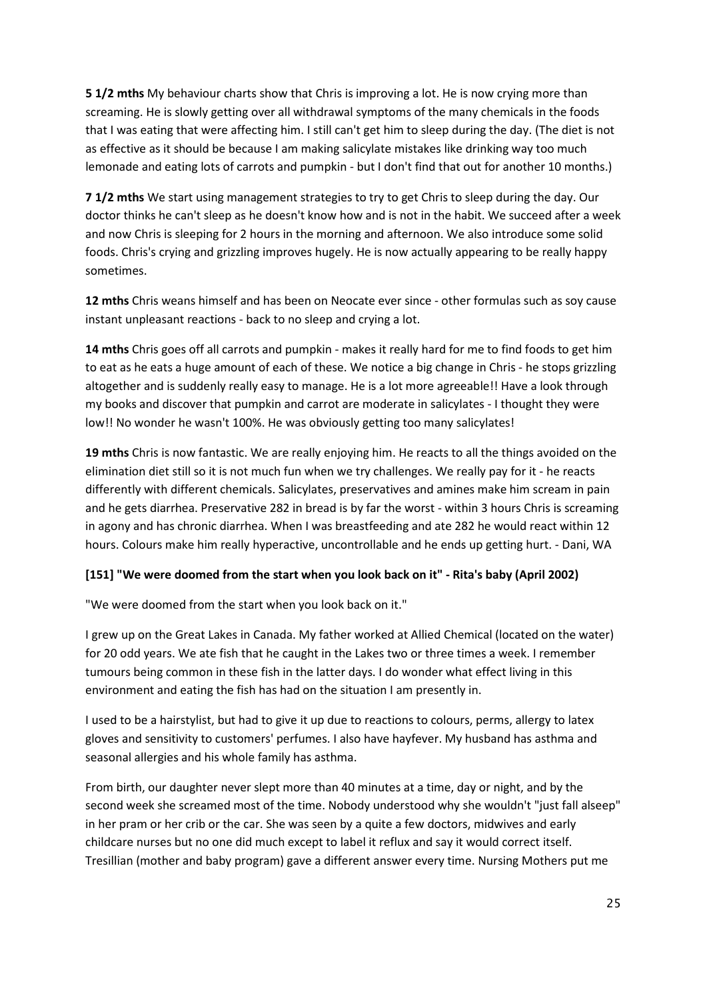**5 1/2 mths** My behaviour charts show that Chris is improving a lot. He is now crying more than screaming. He is slowly getting over all withdrawal symptoms of the many chemicals in the foods that I was eating that were affecting him. I still can't get him to sleep during the day. (The diet is not as effective as it should be because I am making salicylate mistakes like drinking way too much lemonade and eating lots of carrots and pumpkin - but I don't find that out for another 10 months.)

**7 1/2 mths** We start using management strategies to try to get Chris to sleep during the day. Our doctor thinks he can't sleep as he doesn't know how and is not in the habit. We succeed after a week and now Chris is sleeping for 2 hours in the morning and afternoon. We also introduce some solid foods. Chris's crying and grizzling improves hugely. He is now actually appearing to be really happy sometimes.

**12 mths** Chris weans himself and has been on Neocate ever since - other formulas such as soy cause instant unpleasant reactions - back to no sleep and crying a lot.

**14 mths** Chris goes off all carrots and pumpkin - makes it really hard for me to find foods to get him to eat as he eats a huge amount of each of these. We notice a big change in Chris - he stops grizzling altogether and is suddenly really easy to manage. He is a lot more agreeable!! Have a look through my books and discover that pumpkin and carrot are moderate in salicylates - I thought they were low!! No wonder he wasn't 100%. He was obviously getting too many salicylates!

**19 mths** Chris is now fantastic. We are really enjoying him. He reacts to all the things avoided on the elimination diet still so it is not much fun when we try challenges. We really pay for it - he reacts differently with different chemicals. Salicylates, preservatives and amines make him scream in pain and he gets diarrhea. Preservative 282 in bread is by far the worst - within 3 hours Chris is screaming in agony and has chronic diarrhea. When I was breastfeeding and ate 282 he would react within 12 hours. Colours make him really hyperactive, uncontrollable and he ends up getting hurt. - Dani, WA

## **[151] "We were doomed from the start when you look back on it" - Rita's baby (April 2002)**

"We were doomed from the start when you look back on it."

I grew up on the Great Lakes in Canada. My father worked at Allied Chemical (located on the water) for 20 odd years. We ate fish that he caught in the Lakes two or three times a week. I remember tumours being common in these fish in the latter days. I do wonder what effect living in this environment and eating the fish has had on the situation I am presently in.

I used to be a hairstylist, but had to give it up due to reactions to colours, perms, allergy to latex gloves and sensitivity to customers' perfumes. I also have hayfever. My husband has asthma and seasonal allergies and his whole family has asthma.

From birth, our daughter never slept more than 40 minutes at a time, day or night, and by the second week she screamed most of the time. Nobody understood why she wouldn't "just fall alseep" in her pram or her crib or the car. She was seen by a quite a few doctors, midwives and early childcare nurses but no one did much except to label it reflux and say it would correct itself. Tresillian (mother and baby program) gave a different answer every time. Nursing Mothers put me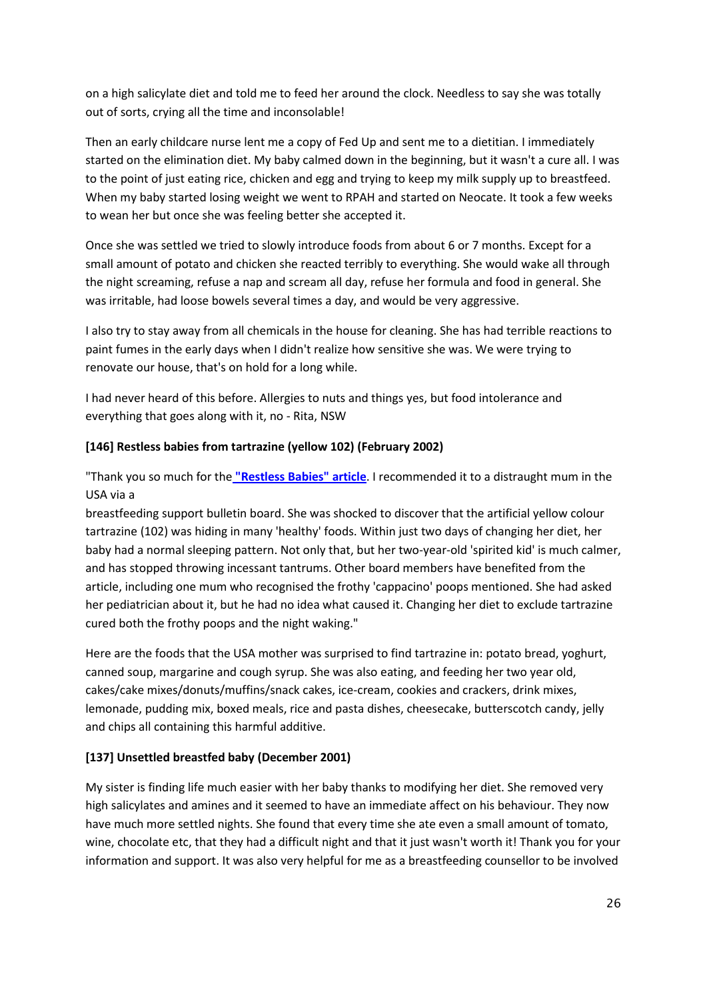on a high salicylate diet and told me to feed her around the clock. Needless to say she was totally out of sorts, crying all the time and inconsolable!

Then an early childcare nurse lent me a copy of Fed Up and sent me to a dietitian. I immediately started on the elimination diet. My baby calmed down in the beginning, but it wasn't a cure all. I was to the point of just eating rice, chicken and egg and trying to keep my milk supply up to breastfeed. When my baby started losing weight we went to RPAH and started on Neocate. It took a few weeks to wean her but once she was feeling better she accepted it.

Once she was settled we tried to slowly introduce foods from about 6 or 7 months. Except for a small amount of potato and chicken she reacted terribly to everything. She would wake all through the night screaming, refuse a nap and scream all day, refuse her formula and food in general. She was irritable, had loose bowels several times a day, and would be very aggressive.

I also try to stay away from all chemicals in the house for cleaning. She has had terrible reactions to paint fumes in the early days when I didn't realize how sensitive she was. We were trying to renovate our house, that's on hold for a long while.

I had never heard of this before. Allergies to nuts and things yes, but food intolerance and everything that goes along with it, no - Rita, NSW

## **[146] Restless babies from tartrazine (yellow 102) (February 2002)**

"Thank you so much for the **["Restless Babies" article](https://www.fedup.com.au/images/stories/presentations.pdf)**. I recommended it to a distraught mum in the USA via a

breastfeeding support bulletin board. She was shocked to discover that the artificial yellow colour tartrazine (102) was hiding in many 'healthy' foods. Within just two days of changing her diet, her baby had a normal sleeping pattern. Not only that, but her two-year-old 'spirited kid' is much calmer, and has stopped throwing incessant tantrums. Other board members have benefited from the article, including one mum who recognised the frothy 'cappacino' poops mentioned. She had asked her pediatrician about it, but he had no idea what caused it. Changing her diet to exclude tartrazine cured both the frothy poops and the night waking."

Here are the foods that the USA mother was surprised to find tartrazine in: potato bread, yoghurt, canned soup, margarine and cough syrup. She was also eating, and feeding her two year old, cakes/cake mixes/donuts/muffins/snack cakes, ice-cream, cookies and crackers, drink mixes, lemonade, pudding mix, boxed meals, rice and pasta dishes, cheesecake, butterscotch candy, jelly and chips all containing this harmful additive.

## **[137] Unsettled breastfed baby (December 2001)**

My sister is finding life much easier with her baby thanks to modifying her diet. She removed very high salicylates and amines and it seemed to have an immediate affect on his behaviour. They now have much more settled nights. She found that every time she ate even a small amount of tomato, wine, chocolate etc, that they had a difficult night and that it just wasn't worth it! Thank you for your information and support. It was also very helpful for me as a breastfeeding counsellor to be involved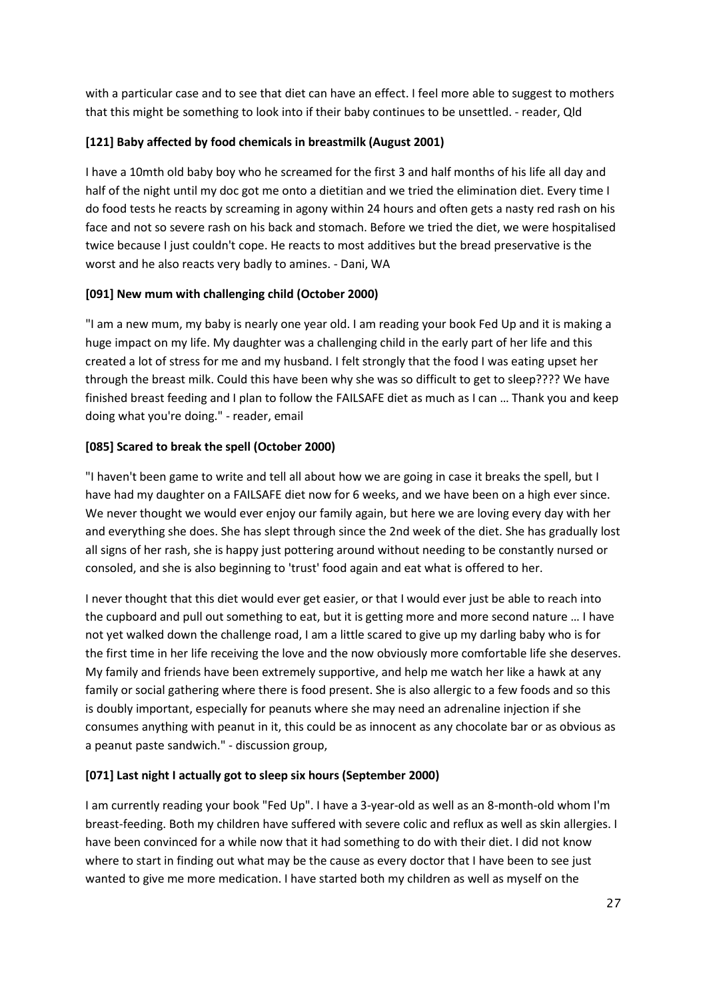with a particular case and to see that diet can have an effect. I feel more able to suggest to mothers that this might be something to look into if their baby continues to be unsettled. - reader, Qld

# **[121] Baby affected by food chemicals in breastmilk (August 2001)**

I have a 10mth old baby boy who he screamed for the first 3 and half months of his life all day and half of the night until my doc got me onto a dietitian and we tried the elimination diet. Every time I do food tests he reacts by screaming in agony within 24 hours and often gets a nasty red rash on his face and not so severe rash on his back and stomach. Before we tried the diet, we were hospitalised twice because I just couldn't cope. He reacts to most additives but the bread preservative is the worst and he also reacts very badly to amines. - Dani, WA

## **[091] New mum with challenging child (October 2000)**

"I am a new mum, my baby is nearly one year old. I am reading your book Fed Up and it is making a huge impact on my life. My daughter was a challenging child in the early part of her life and this created a lot of stress for me and my husband. I felt strongly that the food I was eating upset her through the breast milk. Could this have been why she was so difficult to get to sleep???? We have finished breast feeding and I plan to follow the FAILSAFE diet as much as I can … Thank you and keep doing what you're doing." - reader, email

# **[085] Scared to break the spell (October 2000)**

"I haven't been game to write and tell all about how we are going in case it breaks the spell, but I have had my daughter on a FAILSAFE diet now for 6 weeks, and we have been on a high ever since. We never thought we would ever enjoy our family again, but here we are loving every day with her and everything she does. She has slept through since the 2nd week of the diet. She has gradually lost all signs of her rash, she is happy just pottering around without needing to be constantly nursed or consoled, and she is also beginning to 'trust' food again and eat what is offered to her.

I never thought that this diet would ever get easier, or that I would ever just be able to reach into the cupboard and pull out something to eat, but it is getting more and more second nature … I have not yet walked down the challenge road, I am a little scared to give up my darling baby who is for the first time in her life receiving the love and the now obviously more comfortable life she deserves. My family and friends have been extremely supportive, and help me watch her like a hawk at any family or social gathering where there is food present. She is also allergic to a few foods and so this is doubly important, especially for peanuts where she may need an adrenaline injection if she consumes anything with peanut in it, this could be as innocent as any chocolate bar or as obvious as a peanut paste sandwich." - discussion group,

## **[071] Last night I actually got to sleep six hours (September 2000)**

I am currently reading your book "Fed Up". I have a 3-year-old as well as an 8-month-old whom I'm breast-feeding. Both my children have suffered with severe colic and reflux as well as skin allergies. I have been convinced for a while now that it had something to do with their diet. I did not know where to start in finding out what may be the cause as every doctor that I have been to see just wanted to give me more medication. I have started both my children as well as myself on the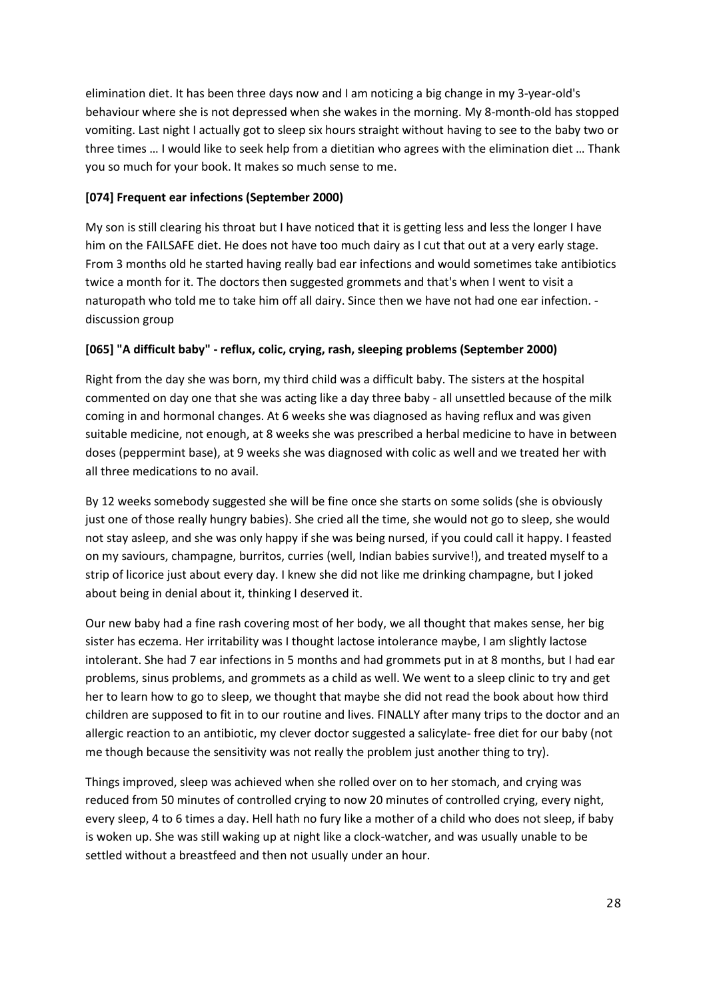elimination diet. It has been three days now and I am noticing a big change in my 3-year-old's behaviour where she is not depressed when she wakes in the morning. My 8-month-old has stopped vomiting. Last night I actually got to sleep six hours straight without having to see to the baby two or three times … I would like to seek help from a dietitian who agrees with the elimination diet … Thank you so much for your book. It makes so much sense to me.

# **[074] Frequent ear infections (September 2000)**

My son is still clearing his throat but I have noticed that it is getting less and less the longer I have him on the FAILSAFE diet. He does not have too much dairy as I cut that out at a very early stage. From 3 months old he started having really bad ear infections and would sometimes take antibiotics twice a month for it. The doctors then suggested grommets and that's when I went to visit a naturopath who told me to take him off all dairy. Since then we have not had one ear infection. discussion group

# **[065] "A difficult baby" - reflux, colic, crying, rash, sleeping problems (September 2000)**

Right from the day she was born, my third child was a difficult baby. The sisters at the hospital commented on day one that she was acting like a day three baby - all unsettled because of the milk coming in and hormonal changes. At 6 weeks she was diagnosed as having reflux and was given suitable medicine, not enough, at 8 weeks she was prescribed a herbal medicine to have in between doses (peppermint base), at 9 weeks she was diagnosed with colic as well and we treated her with all three medications to no avail.

By 12 weeks somebody suggested she will be fine once she starts on some solids (she is obviously just one of those really hungry babies). She cried all the time, she would not go to sleep, she would not stay asleep, and she was only happy if she was being nursed, if you could call it happy. I feasted on my saviours, champagne, burritos, curries (well, Indian babies survive!), and treated myself to a strip of licorice just about every day. I knew she did not like me drinking champagne, but I joked about being in denial about it, thinking I deserved it.

Our new baby had a fine rash covering most of her body, we all thought that makes sense, her big sister has eczema. Her irritability was I thought lactose intolerance maybe, I am slightly lactose intolerant. She had 7 ear infections in 5 months and had grommets put in at 8 months, but I had ear problems, sinus problems, and grommets as a child as well. We went to a sleep clinic to try and get her to learn how to go to sleep, we thought that maybe she did not read the book about how third children are supposed to fit in to our routine and lives. FINALLY after many trips to the doctor and an allergic reaction to an antibiotic, my clever doctor suggested a salicylate- free diet for our baby (not me though because the sensitivity was not really the problem just another thing to try).

Things improved, sleep was achieved when she rolled over on to her stomach, and crying was reduced from 50 minutes of controlled crying to now 20 minutes of controlled crying, every night, every sleep, 4 to 6 times a day. Hell hath no fury like a mother of a child who does not sleep, if baby is woken up. She was still waking up at night like a clock-watcher, and was usually unable to be settled without a breastfeed and then not usually under an hour.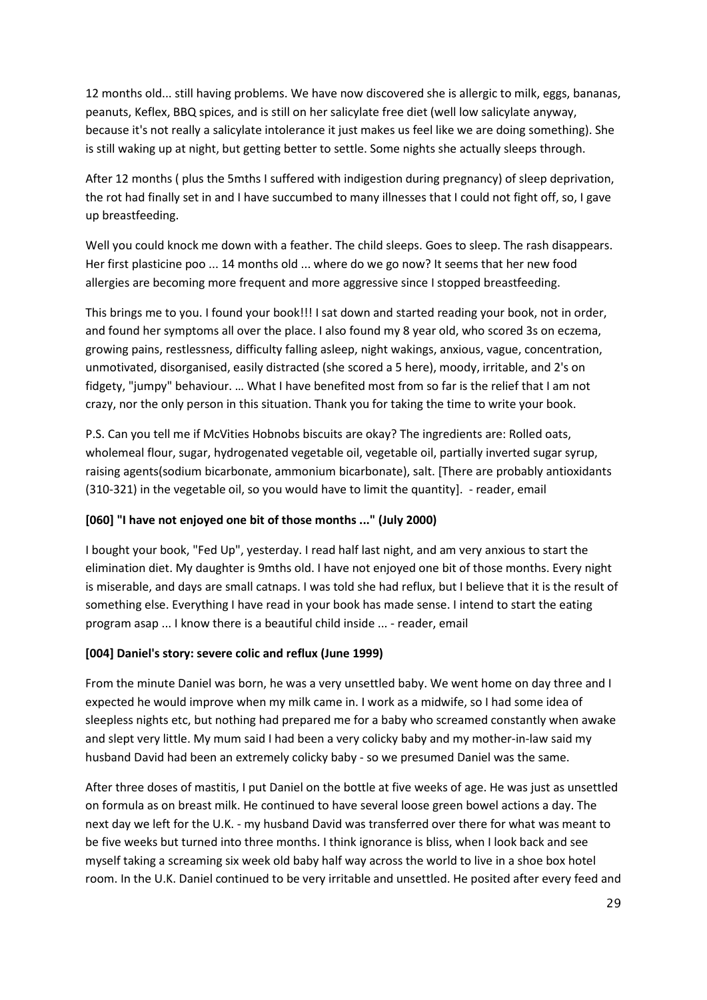12 months old... still having problems. We have now discovered she is allergic to milk, eggs, bananas, peanuts, Keflex, BBQ spices, and is still on her salicylate free diet (well low salicylate anyway, because it's not really a salicylate intolerance it just makes us feel like we are doing something). She is still waking up at night, but getting better to settle. Some nights she actually sleeps through.

After 12 months ( plus the 5mths I suffered with indigestion during pregnancy) of sleep deprivation, the rot had finally set in and I have succumbed to many illnesses that I could not fight off, so, I gave up breastfeeding.

Well you could knock me down with a feather. The child sleeps. Goes to sleep. The rash disappears. Her first plasticine poo ... 14 months old ... where do we go now? It seems that her new food allergies are becoming more frequent and more aggressive since I stopped breastfeeding.

This brings me to you. I found your book!!! I sat down and started reading your book, not in order, and found her symptoms all over the place. I also found my 8 year old, who scored 3s on eczema, growing pains, restlessness, difficulty falling asleep, night wakings, anxious, vague, concentration, unmotivated, disorganised, easily distracted (she scored a 5 here), moody, irritable, and 2's on fidgety, "jumpy" behaviour. … What I have benefited most from so far is the relief that I am not crazy, nor the only person in this situation. Thank you for taking the time to write your book.

P.S. Can you tell me if McVities Hobnobs biscuits are okay? The ingredients are: Rolled oats, wholemeal flour, sugar, hydrogenated vegetable oil, vegetable oil, partially inverted sugar syrup, raising agents(sodium bicarbonate, ammonium bicarbonate), salt. [There are probably antioxidants (310-321) in the vegetable oil, so you would have to limit the quantity]. - reader, email

## **[060] "I have not enjoyed one bit of those months ..." (July 2000)**

I bought your book, "Fed Up", yesterday. I read half last night, and am very anxious to start the elimination diet. My daughter is 9mths old. I have not enjoyed one bit of those months. Every night is miserable, and days are small catnaps. I was told she had reflux, but I believe that it is the result of something else. Everything I have read in your book has made sense. I intend to start the eating program asap ... I know there is a beautiful child inside ... - reader, email

# **[004] Daniel's story: severe colic and reflux (June 1999)**

From the minute Daniel was born, he was a very unsettled baby. We went home on day three and I expected he would improve when my milk came in. I work as a midwife, so I had some idea of sleepless nights etc, but nothing had prepared me for a baby who screamed constantly when awake and slept very little. My mum said I had been a very colicky baby and my mother-in-law said my husband David had been an extremely colicky baby - so we presumed Daniel was the same.

After three doses of mastitis, I put Daniel on the bottle at five weeks of age. He was just as unsettled on formula as on breast milk. He continued to have several loose green bowel actions a day. The next day we left for the U.K. - my husband David was transferred over there for what was meant to be five weeks but turned into three months. I think ignorance is bliss, when I look back and see myself taking a screaming six week old baby half way across the world to live in a shoe box hotel room. In the U.K. Daniel continued to be very irritable and unsettled. He posited after every feed and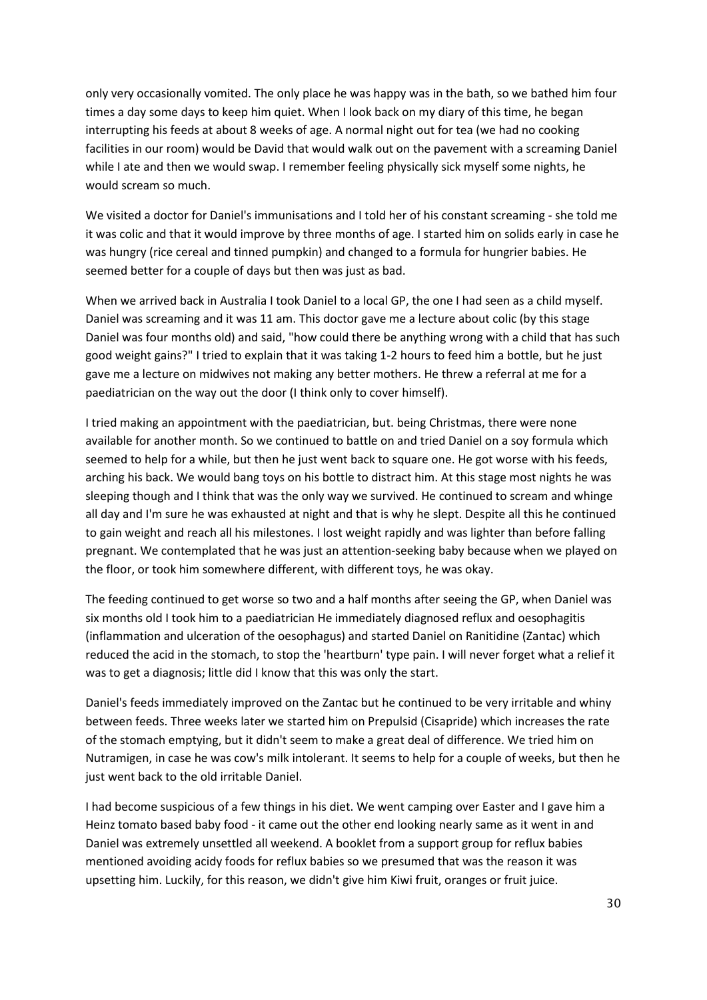only very occasionally vomited. The only place he was happy was in the bath, so we bathed him four times a day some days to keep him quiet. When I look back on my diary of this time, he began interrupting his feeds at about 8 weeks of age. A normal night out for tea (we had no cooking facilities in our room) would be David that would walk out on the pavement with a screaming Daniel while I ate and then we would swap. I remember feeling physically sick myself some nights, he would scream so much.

We visited a doctor for Daniel's immunisations and I told her of his constant screaming - she told me it was colic and that it would improve by three months of age. I started him on solids early in case he was hungry (rice cereal and tinned pumpkin) and changed to a formula for hungrier babies. He seemed better for a couple of days but then was just as bad.

When we arrived back in Australia I took Daniel to a local GP, the one I had seen as a child myself. Daniel was screaming and it was 11 am. This doctor gave me a lecture about colic (by this stage Daniel was four months old) and said, "how could there be anything wrong with a child that has such good weight gains?" I tried to explain that it was taking 1-2 hours to feed him a bottle, but he just gave me a lecture on midwives not making any better mothers. He threw a referral at me for a paediatrician on the way out the door (I think only to cover himself).

I tried making an appointment with the paediatrician, but. being Christmas, there were none available for another month. So we continued to battle on and tried Daniel on a soy formula which seemed to help for a while, but then he just went back to square one. He got worse with his feeds, arching his back. We would bang toys on his bottle to distract him. At this stage most nights he was sleeping though and I think that was the only way we survived. He continued to scream and whinge all day and I'm sure he was exhausted at night and that is why he slept. Despite all this he continued to gain weight and reach all his milestones. I lost weight rapidly and was lighter than before falling pregnant. We contemplated that he was just an attention-seeking baby because when we played on the floor, or took him somewhere different, with different toys, he was okay.

The feeding continued to get worse so two and a half months after seeing the GP, when Daniel was six months old I took him to a paediatrician He immediately diagnosed reflux and oesophagitis (inflammation and ulceration of the oesophagus) and started Daniel on Ranitidine (Zantac) which reduced the acid in the stomach, to stop the 'heartburn' type pain. I will never forget what a relief it was to get a diagnosis; little did I know that this was only the start.

Daniel's feeds immediately improved on the Zantac but he continued to be very irritable and whiny between feeds. Three weeks later we started him on Prepulsid (Cisapride) which increases the rate of the stomach emptying, but it didn't seem to make a great deal of difference. We tried him on Nutramigen, in case he was cow's milk intolerant. It seems to help for a couple of weeks, but then he just went back to the old irritable Daniel.

I had become suspicious of a few things in his diet. We went camping over Easter and I gave him a Heinz tomato based baby food - it came out the other end looking nearly same as it went in and Daniel was extremely unsettled all weekend. A booklet from a support group for reflux babies mentioned avoiding acidy foods for reflux babies so we presumed that was the reason it was upsetting him. Luckily, for this reason, we didn't give him Kiwi fruit, oranges or fruit juice.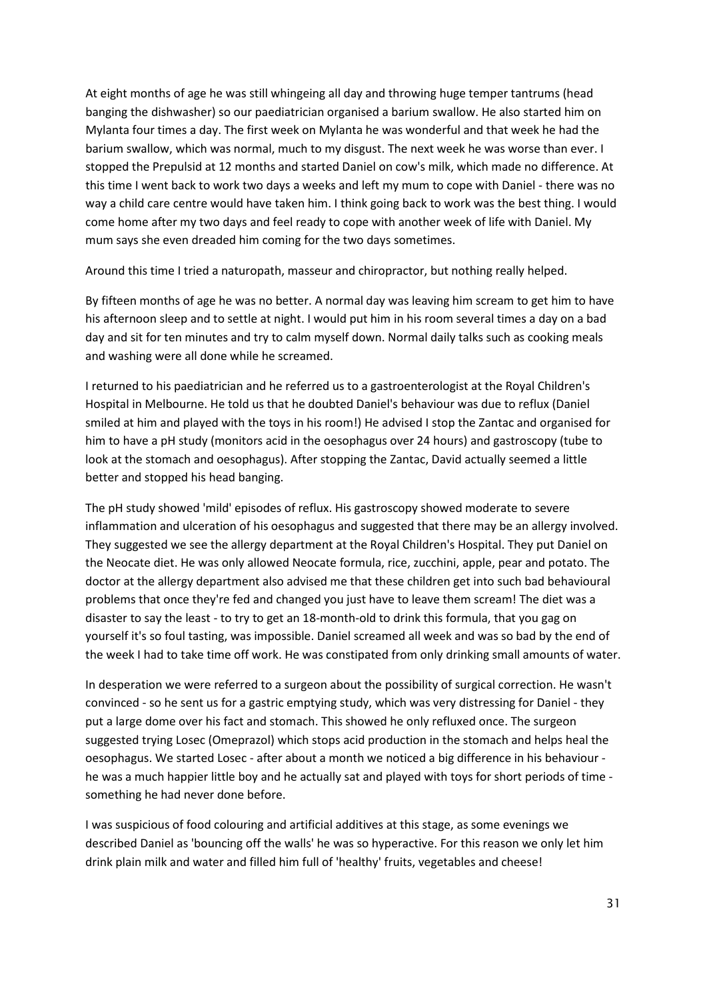At eight months of age he was still whingeing all day and throwing huge temper tantrums (head banging the dishwasher) so our paediatrician organised a barium swallow. He also started him on Mylanta four times a day. The first week on Mylanta he was wonderful and that week he had the barium swallow, which was normal, much to my disgust. The next week he was worse than ever. I stopped the Prepulsid at 12 months and started Daniel on cow's milk, which made no difference. At this time I went back to work two days a weeks and left my mum to cope with Daniel - there was no way a child care centre would have taken him. I think going back to work was the best thing. I would come home after my two days and feel ready to cope with another week of life with Daniel. My mum says she even dreaded him coming for the two days sometimes.

Around this time I tried a naturopath, masseur and chiropractor, but nothing really helped.

By fifteen months of age he was no better. A normal day was leaving him scream to get him to have his afternoon sleep and to settle at night. I would put him in his room several times a day on a bad day and sit for ten minutes and try to calm myself down. Normal daily talks such as cooking meals and washing were all done while he screamed.

I returned to his paediatrician and he referred us to a gastroenterologist at the Royal Children's Hospital in Melbourne. He told us that he doubted Daniel's behaviour was due to reflux (Daniel smiled at him and played with the toys in his room!) He advised I stop the Zantac and organised for him to have a pH study (monitors acid in the oesophagus over 24 hours) and gastroscopy (tube to look at the stomach and oesophagus). After stopping the Zantac, David actually seemed a little better and stopped his head banging.

The pH study showed 'mild' episodes of reflux. His gastroscopy showed moderate to severe inflammation and ulceration of his oesophagus and suggested that there may be an allergy involved. They suggested we see the allergy department at the Royal Children's Hospital. They put Daniel on the Neocate diet. He was only allowed Neocate formula, rice, zucchini, apple, pear and potato. The doctor at the allergy department also advised me that these children get into such bad behavioural problems that once they're fed and changed you just have to leave them scream! The diet was a disaster to say the least - to try to get an 18-month-old to drink this formula, that you gag on yourself it's so foul tasting, was impossible. Daniel screamed all week and was so bad by the end of the week I had to take time off work. He was constipated from only drinking small amounts of water.

In desperation we were referred to a surgeon about the possibility of surgical correction. He wasn't convinced - so he sent us for a gastric emptying study, which was very distressing for Daniel - they put a large dome over his fact and stomach. This showed he only refluxed once. The surgeon suggested trying Losec (Omeprazol) which stops acid production in the stomach and helps heal the oesophagus. We started Losec - after about a month we noticed a big difference in his behaviour he was a much happier little boy and he actually sat and played with toys for short periods of time something he had never done before.

I was suspicious of food colouring and artificial additives at this stage, as some evenings we described Daniel as 'bouncing off the walls' he was so hyperactive. For this reason we only let him drink plain milk and water and filled him full of 'healthy' fruits, vegetables and cheese!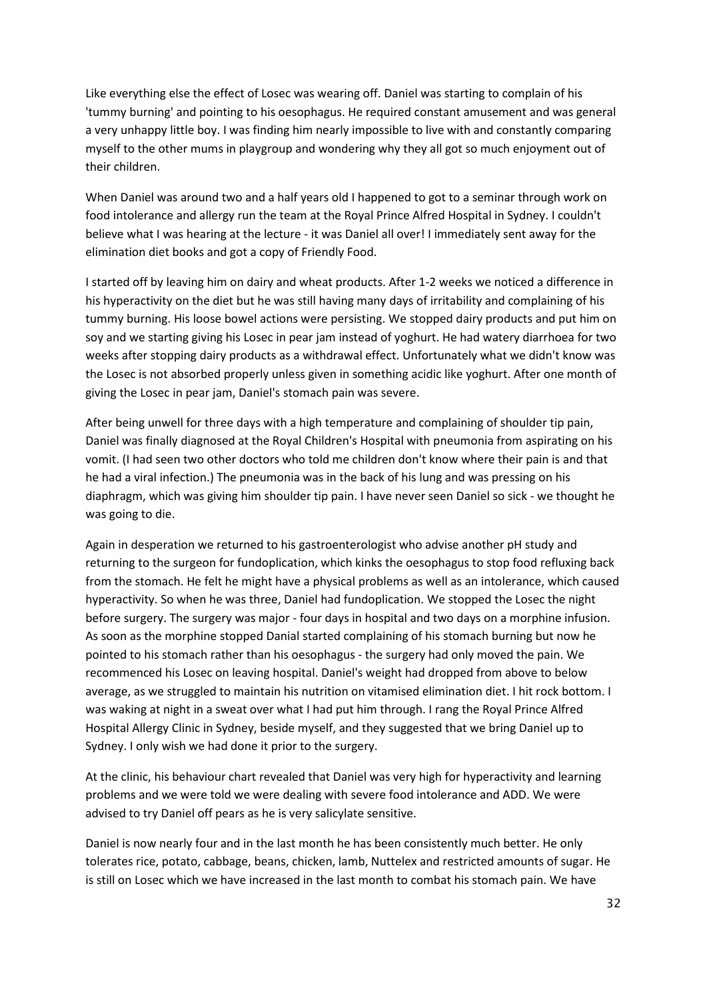Like everything else the effect of Losec was wearing off. Daniel was starting to complain of his 'tummy burning' and pointing to his oesophagus. He required constant amusement and was general a very unhappy little boy. I was finding him nearly impossible to live with and constantly comparing myself to the other mums in playgroup and wondering why they all got so much enjoyment out of their children.

When Daniel was around two and a half years old I happened to got to a seminar through work on food intolerance and allergy run the team at the Royal Prince Alfred Hospital in Sydney. I couldn't believe what I was hearing at the lecture - it was Daniel all over! I immediately sent away for the elimination diet books and got a copy of Friendly Food.

I started off by leaving him on dairy and wheat products. After 1-2 weeks we noticed a difference in his hyperactivity on the diet but he was still having many days of irritability and complaining of his tummy burning. His loose bowel actions were persisting. We stopped dairy products and put him on soy and we starting giving his Losec in pear jam instead of yoghurt. He had watery diarrhoea for two weeks after stopping dairy products as a withdrawal effect. Unfortunately what we didn't know was the Losec is not absorbed properly unless given in something acidic like yoghurt. After one month of giving the Losec in pear jam, Daniel's stomach pain was severe.

After being unwell for three days with a high temperature and complaining of shoulder tip pain, Daniel was finally diagnosed at the Royal Children's Hospital with pneumonia from aspirating on his vomit. (I had seen two other doctors who told me children don't know where their pain is and that he had a viral infection.) The pneumonia was in the back of his lung and was pressing on his diaphragm, which was giving him shoulder tip pain. I have never seen Daniel so sick - we thought he was going to die.

Again in desperation we returned to his gastroenterologist who advise another pH study and returning to the surgeon for fundoplication, which kinks the oesophagus to stop food refluxing back from the stomach. He felt he might have a physical problems as well as an intolerance, which caused hyperactivity. So when he was three, Daniel had fundoplication. We stopped the Losec the night before surgery. The surgery was major - four days in hospital and two days on a morphine infusion. As soon as the morphine stopped Danial started complaining of his stomach burning but now he pointed to his stomach rather than his oesophagus - the surgery had only moved the pain. We recommenced his Losec on leaving hospital. Daniel's weight had dropped from above to below average, as we struggled to maintain his nutrition on vitamised elimination diet. I hit rock bottom. I was waking at night in a sweat over what I had put him through. I rang the Royal Prince Alfred Hospital Allergy Clinic in Sydney, beside myself, and they suggested that we bring Daniel up to Sydney. I only wish we had done it prior to the surgery.

At the clinic, his behaviour chart revealed that Daniel was very high for hyperactivity and learning problems and we were told we were dealing with severe food intolerance and ADD. We were advised to try Daniel off pears as he is very salicylate sensitive.

Daniel is now nearly four and in the last month he has been consistently much better. He only tolerates rice, potato, cabbage, beans, chicken, lamb, Nuttelex and restricted amounts of sugar. He is still on Losec which we have increased in the last month to combat his stomach pain. We have